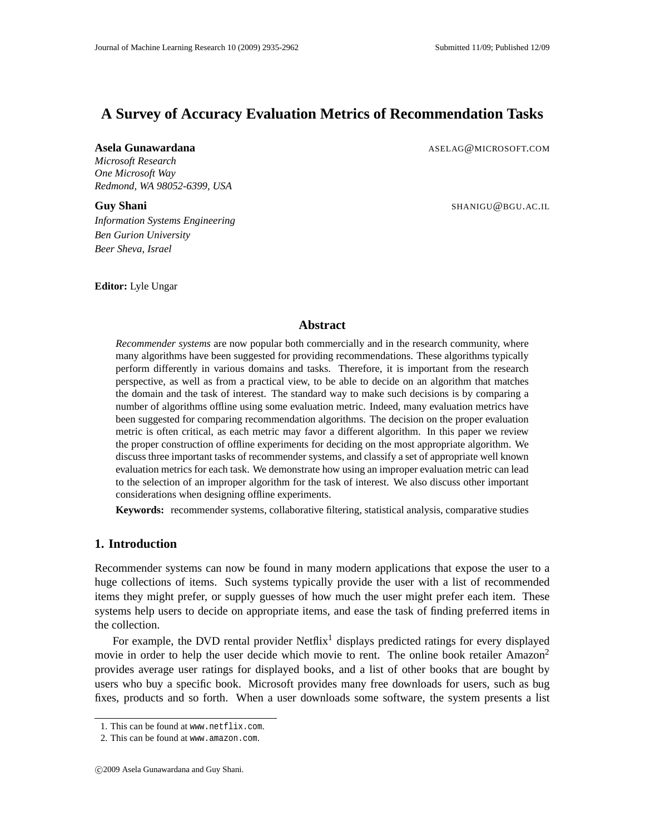# **A Survey of Accuracy Evaluation Metrics of Recommendation Tasks**

*Microsoft Research One Microsoft Way Redmond, WA 98052-6399, USA*

*Information Systems Engineering Ben Gurion University Beer Sheva, Israel*

**Editor:** Lyle Ungar

#### **Asela Gunawardana** ASELAG@MICROSOFT.COM

**Guy Shani** SHANIGU@BGU.AC.IL

## **Abstract**

*Recommender systems* are now popular both commercially and in the research community, where many algorithms have been suggested for providing recommendations. These algorithms typically perform differently in various domains and tasks. Therefore, it is important from the research perspective, as well as from a practical view, to be able to decide on an algorithm that matches the domain and the task of interest. The standard way to make such decisions is by comparing a number of algorithms offline using some evaluation metric. Indeed, many evaluation metrics have been suggested for comparing recommendation algorithms. The decision on the proper evaluation metric is often critical, as each metric may favor a different algorithm. In this paper we review the proper construction of offline experiments for deciding on the most appropriate algorithm. We discuss three important tasks of recommender systems, and classify a set of appropriate well known evaluation metrics for each task. We demonstrate how using an improper evaluation metric can lead to the selection of an improper algorithm for the task of interest. We also discuss other important considerations when designing offline experiments.

**Keywords:** recommender systems, collaborative filtering, statistical analysis, comparative studies

## **1. Introduction**

Recommender systems can now be found in many modern applications that expose the user to a huge collections of items. Such systems typically provide the user with a list of recommended items they might prefer, or supply guesses of how much the user might prefer each item. These systems help users to decide on appropriate items, and ease the task of finding preferred items in the collection.

For example, the DVD rental provider  $Netfix<sup>1</sup>$  displays predicted ratings for every displayed movie in order to help the user decide which movie to rent. The online book retailer  $A_{\text{max}}$ provides average user ratings for displayed books, and a list of other books that are bought by users who buy a specific book. Microsoft provides many free downloads for users, such as bug fixes, products and so forth. When a user downloads some software, the system presents a list

<sup>1.</sup> This can be found at www.netflix.com.

<sup>2.</sup> This can be found at www.amazon.com.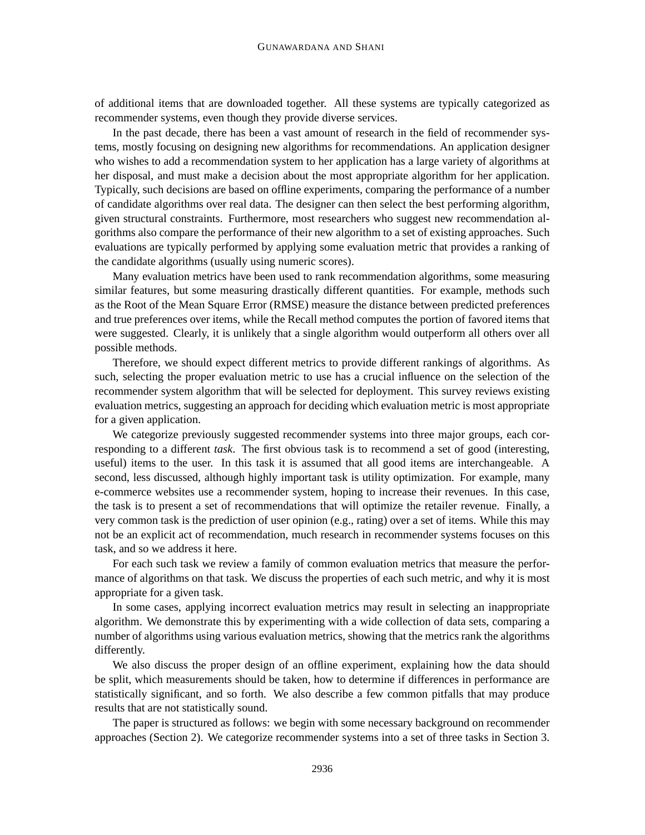of additional items that are downloaded together. All these systems are typically categorized as recommender systems, even though they provide diverse services.

In the past decade, there has been a vast amount of research in the field of recommender systems, mostly focusing on designing new algorithms for recommendations. An application designer who wishes to add a recommendation system to her application has a large variety of algorithms at her disposal, and must make a decision about the most appropriate algorithm for her application. Typically, such decisions are based on offline experiments, comparing the performance of a number of candidate algorithms over real data. The designer can then select the best performing algorithm, given structural constraints. Furthermore, most researchers who suggest new recommendation algorithms also compare the performance of their new algorithm to a set of existing approaches. Such evaluations are typically performed by applying some evaluation metric that provides a ranking of the candidate algorithms (usually using numeric scores).

Many evaluation metrics have been used to rank recommendation algorithms, some measuring similar features, but some measuring drastically different quantities. For example, methods such as the Root of the Mean Square Error (RMSE) measure the distance between predicted preferences and true preferences over items, while the Recall method computes the portion of favored items that were suggested. Clearly, it is unlikely that a single algorithm would outperform all others over all possible methods.

Therefore, we should expect different metrics to provide different rankings of algorithms. As such, selecting the proper evaluation metric to use has a crucial influence on the selection of the recommender system algorithm that will be selected for deployment. This survey reviews existing evaluation metrics, suggesting an approach for deciding which evaluation metric is most appropriate for a given application.

We categorize previously suggested recommender systems into three major groups, each corresponding to a different *task*. The first obvious task is to recommend a set of good (interesting, useful) items to the user. In this task it is assumed that all good items are interchangeable. A second, less discussed, although highly important task is utility optimization. For example, many e-commerce websites use a recommender system, hoping to increase their revenues. In this case, the task is to present a set of recommendations that will optimize the retailer revenue. Finally, a very common task is the prediction of user opinion (e.g., rating) over a set of items. While this may not be an explicit act of recommendation, much research in recommender systems focuses on this task, and so we address it here.

For each such task we review a family of common evaluation metrics that measure the performance of algorithms on that task. We discuss the properties of each such metric, and why it is most appropriate for a given task.

In some cases, applying incorrect evaluation metrics may result in selecting an inappropriate algorithm. We demonstrate this by experimenting with a wide collection of data sets, comparing a number of algorithms using various evaluation metrics, showing that the metrics rank the algorithms differently.

We also discuss the proper design of an offline experiment, explaining how the data should be split, which measurements should be taken, how to determine if differences in performance are statistically significant, and so forth. We also describe a few common pitfalls that may produce results that are not statistically sound.

The paper is structured as follows: we begin with some necessary background on recommender approaches (Section 2). We categorize recommender systems into a set of three tasks in Section 3.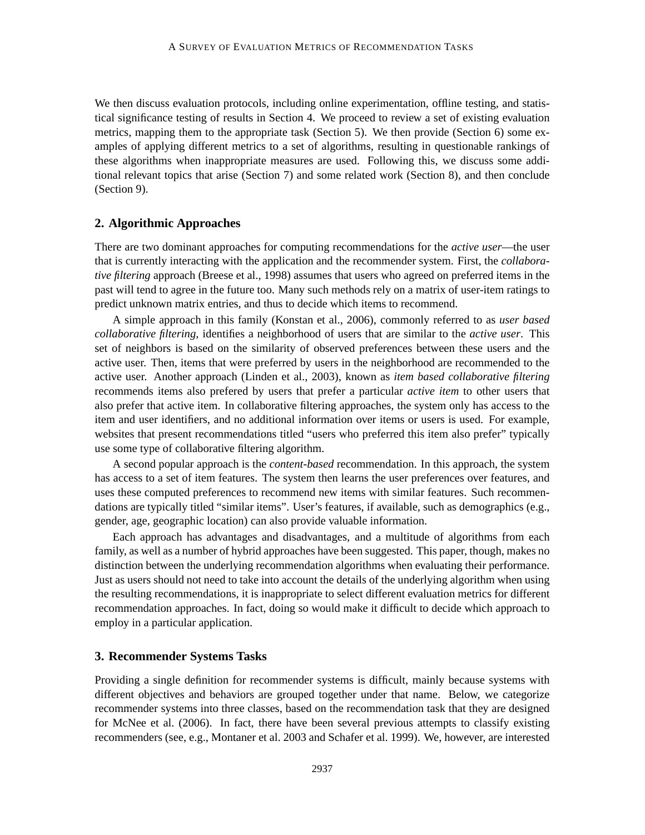We then discuss evaluation protocols, including online experimentation, offline testing, and statistical significance testing of results in Section 4. We proceed to review a set of existing evaluation metrics, mapping them to the appropriate task (Section 5). We then provide (Section 6) some examples of applying different metrics to a set of algorithms, resulting in questionable rankings of these algorithms when inappropriate measures are used. Following this, we discuss some additional relevant topics that arise (Section 7) and some related work (Section 8), and then conclude (Section 9).

## **2. Algorithmic Approaches**

There are two dominant approaches for computing recommendations for the *active user*—the user that is currently interacting with the application and the recommender system. First, the *collaborative filtering* approach (Breese et al., 1998) assumes that users who agreed on preferred items in the past will tend to agree in the future too. Many such methods rely on a matrix of user-item ratings to predict unknown matrix entries, and thus to decide which items to recommend.

A simple approach in this family (Konstan et al., 2006), commonly referred to as *user based collaborative filtering*, identifies a neighborhood of users that are similar to the *active user*. This set of neighbors is based on the similarity of observed preferences between these users and the active user. Then, items that were preferred by users in the neighborhood are recommended to the active user. Another approach (Linden et al., 2003), known as *item based collaborative filtering* recommends items also prefered by users that prefer a particular *active item* to other users that also prefer that active item. In collaborative filtering approaches, the system only has access to the item and user identifiers, and no additional information over items or users is used. For example, websites that present recommendations titled "users who preferred this item also prefer" typically use some type of collaborative filtering algorithm.

A second popular approach is the *content-based* recommendation. In this approach, the system has access to a set of item features. The system then learns the user preferences over features, and uses these computed preferences to recommend new items with similar features. Such recommendations are typically titled "similar items". User's features, if available, such as demographics (e.g., gender, age, geographic location) can also provide valuable information.

Each approach has advantages and disadvantages, and a multitude of algorithms from each family, as well as a number of hybrid approaches have been suggested. This paper, though, makes no distinction between the underlying recommendation algorithms when evaluating their performance. Just as users should not need to take into account the details of the underlying algorithm when using the resulting recommendations, it is inappropriate to select different evaluation metrics for different recommendation approaches. In fact, doing so would make it difficult to decide which approach to employ in a particular application.

## **3. Recommender Systems Tasks**

Providing a single definition for recommender systems is difficult, mainly because systems with different objectives and behaviors are grouped together under that name. Below, we categorize recommender systems into three classes, based on the recommendation task that they are designed for McNee et al. (2006). In fact, there have been several previous attempts to classify existing recommenders (see, e.g., Montaner et al. 2003 and Schafer et al. 1999). We, however, are interested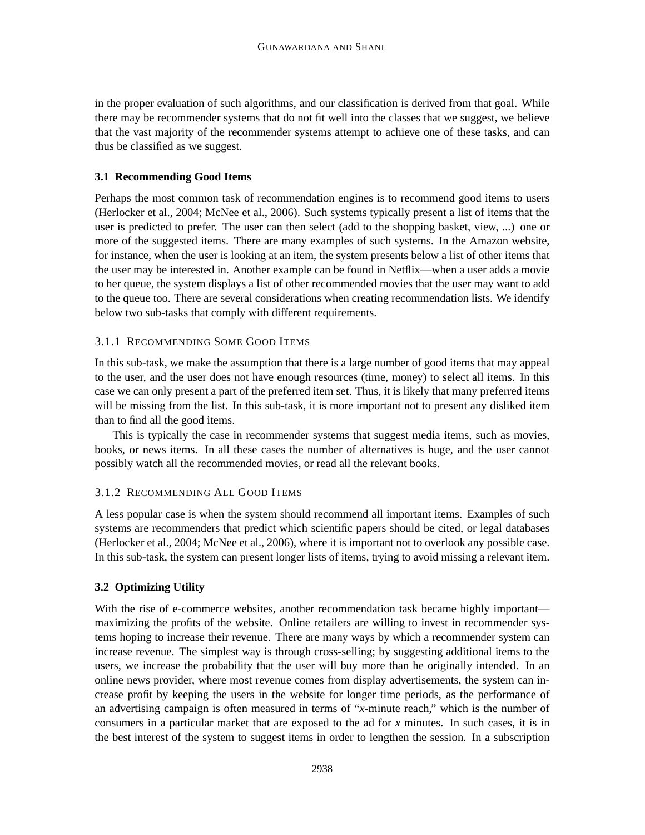in the proper evaluation of such algorithms, and our classification is derived from that goal. While there may be recommender systems that do not fit well into the classes that we suggest, we believe that the vast majority of the recommender systems attempt to achieve one of these tasks, and can thus be classified as we suggest.

## **3.1 Recommending Good Items**

Perhaps the most common task of recommendation engines is to recommend good items to users (Herlocker et al., 2004; McNee et al., 2006). Such systems typically present a list of items that the user is predicted to prefer. The user can then select (add to the shopping basket, view, ...) one or more of the suggested items. There are many examples of such systems. In the Amazon website, for instance, when the user is looking at an item, the system presents below a list of other items that the user may be interested in. Another example can be found in Netflix—when a user adds a movie to her queue, the system displays a list of other recommended movies that the user may want to add to the queue too. There are several considerations when creating recommendation lists. We identify below two sub-tasks that comply with different requirements.

## 3.1.1 RECOMMENDING SOME GOOD ITEMS

In this sub-task, we make the assumption that there is a large number of good items that may appeal to the user, and the user does not have enough resources (time, money) to select all items. In this case we can only present a part of the preferred item set. Thus, it is likely that many preferred items will be missing from the list. In this sub-task, it is more important not to present any disliked item than to find all the good items.

This is typically the case in recommender systems that suggest media items, such as movies, books, or news items. In all these cases the number of alternatives is huge, and the user cannot possibly watch all the recommended movies, or read all the relevant books.

## 3.1.2 RECOMMENDING ALL GOOD ITEMS

A less popular case is when the system should recommend all important items. Examples of such systems are recommenders that predict which scientific papers should be cited, or legal databases (Herlocker et al., 2004; McNee et al., 2006), where it is important not to overlook any possible case. In this sub-task, the system can present longer lists of items, trying to avoid missing a relevant item.

## **3.2 Optimizing Utility**

With the rise of e-commerce websites, another recommendation task became highly important maximizing the profits of the website. Online retailers are willing to invest in recommender systems hoping to increase their revenue. There are many ways by which a recommender system can increase revenue. The simplest way is through cross-selling; by suggesting additional items to the users, we increase the probability that the user will buy more than he originally intended. In an online news provider, where most revenue comes from display advertisements, the system can increase profit by keeping the users in the website for longer time periods, as the performance of an advertising campaign is often measured in terms of "*x*-minute reach," which is the number of consumers in a particular market that are exposed to the ad for *x* minutes. In such cases, it is in the best interest of the system to suggest items in order to lengthen the session. In a subscription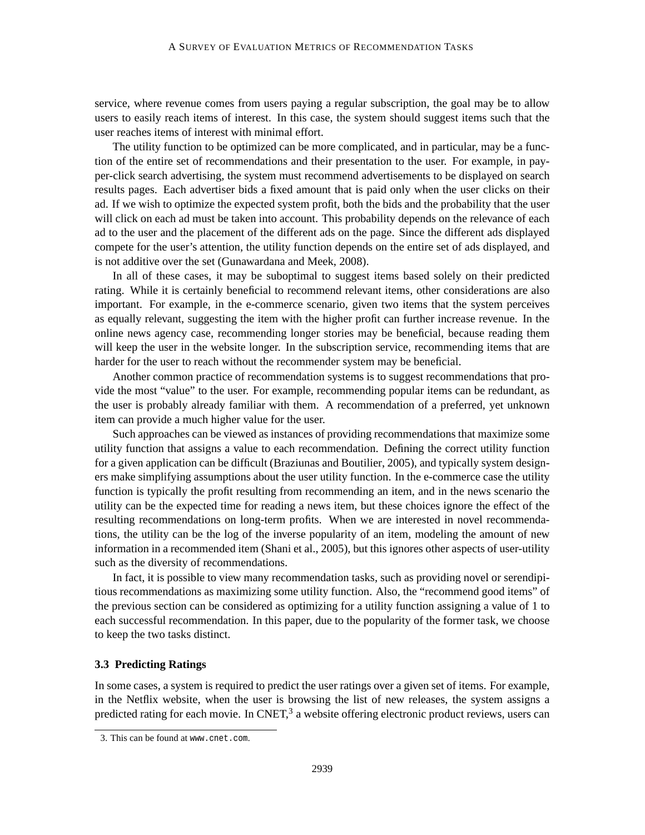service, where revenue comes from users paying a regular subscription, the goal may be to allow users to easily reach items of interest. In this case, the system should suggest items such that the user reaches items of interest with minimal effort.

The utility function to be optimized can be more complicated, and in particular, may be a function of the entire set of recommendations and their presentation to the user. For example, in payper-click search advertising, the system must recommend advertisements to be displayed on search results pages. Each advertiser bids a fixed amount that is paid only when the user clicks on their ad. If we wish to optimize the expected system profit, both the bids and the probability that the user will click on each ad must be taken into account. This probability depends on the relevance of each ad to the user and the placement of the different ads on the page. Since the different ads displayed compete for the user's attention, the utility function depends on the entire set of ads displayed, and is not additive over the set (Gunawardana and Meek, 2008).

In all of these cases, it may be suboptimal to suggest items based solely on their predicted rating. While it is certainly beneficial to recommend relevant items, other considerations are also important. For example, in the e-commerce scenario, given two items that the system perceives as equally relevant, suggesting the item with the higher profit can further increase revenue. In the online news agency case, recommending longer stories may be beneficial, because reading them will keep the user in the website longer. In the subscription service, recommending items that are harder for the user to reach without the recommender system may be beneficial.

Another common practice of recommendation systems is to suggest recommendations that provide the most "value" to the user. For example, recommending popular items can be redundant, as the user is probably already familiar with them. A recommendation of a preferred, yet unknown item can provide a much higher value for the user.

Such approaches can be viewed as instances of providing recommendations that maximize some utility function that assigns a value to each recommendation. Defining the correct utility function for a given application can be difficult (Braziunas and Boutilier, 2005), and typically system designers make simplifying assumptions about the user utility function. In the e-commerce case the utility function is typically the profit resulting from recommending an item, and in the news scenario the utility can be the expected time for reading a news item, but these choices ignore the effect of the resulting recommendations on long-term profits. When we are interested in novel recommendations, the utility can be the log of the inverse popularity of an item, modeling the amount of new information in a recommended item (Shani et al., 2005), but this ignores other aspects of user-utility such as the diversity of recommendations.

In fact, it is possible to view many recommendation tasks, such as providing novel or serendipitious recommendations as maximizing some utility function. Also, the "recommend good items" of the previous section can be considered as optimizing for a utility function assigning a value of 1 to each successful recommendation. In this paper, due to the popularity of the former task, we choose to keep the two tasks distinct.

## **3.3 Predicting Ratings**

In some cases, a system is required to predict the user ratings over a given set of items. For example, in the Netflix website, when the user is browsing the list of new releases, the system assigns a predicted rating for each movie. In CNET, $3$  a website offering electronic product reviews, users can

<sup>3.</sup> This can be found at www.cnet.com.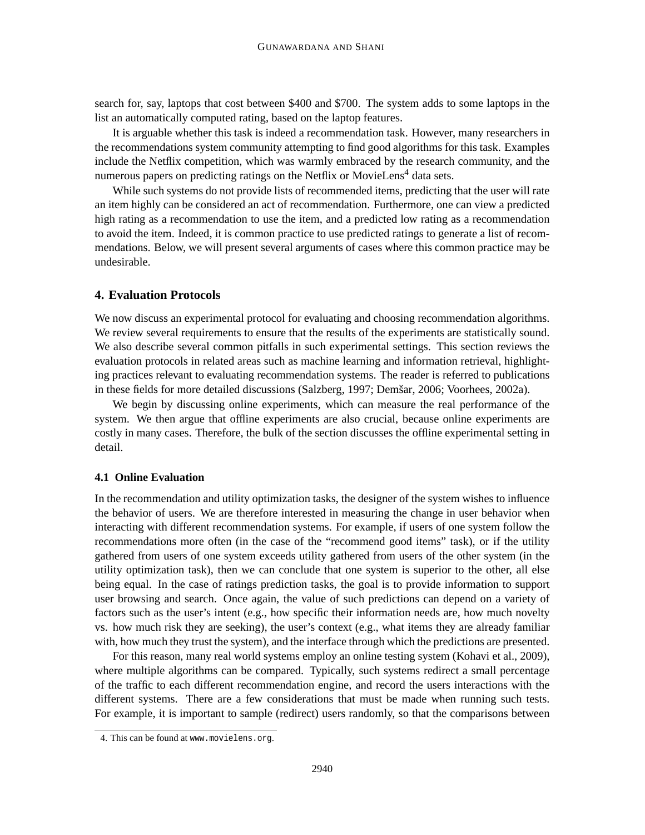search for, say, laptops that cost between \$400 and \$700. The system adds to some laptops in the list an automatically computed rating, based on the laptop features.

It is arguable whether this task is indeed a recommendation task. However, many researchers in the recommendations system community attempting to find good algorithms for this task. Examples include the Netflix competition, which was warmly embraced by the research community, and the numerous papers on predicting ratings on the Netflix or MovieLens<sup>4</sup> data sets.

While such systems do not provide lists of recommended items, predicting that the user will rate an item highly can be considered an act of recommendation. Furthermore, one can view a predicted high rating as a recommendation to use the item, and a predicted low rating as a recommendation to avoid the item. Indeed, it is common practice to use predicted ratings to generate a list of recommendations. Below, we will present several arguments of cases where this common practice may be undesirable.

## **4. Evaluation Protocols**

We now discuss an experimental protocol for evaluating and choosing recommendation algorithms. We review several requirements to ensure that the results of the experiments are statistically sound. We also describe several common pitfalls in such experimental settings. This section reviews the evaluation protocols in related areas such as machine learning and information retrieval, highlighting practices relevant to evaluating recommendation systems. The reader is referred to publications in these fields for more detailed discussions (Salzberg, 1997; Demšar, 2006; Voorhees, 2002a).

We begin by discussing online experiments, which can measure the real performance of the system. We then argue that offline experiments are also crucial, because online experiments are costly in many cases. Therefore, the bulk of the section discusses the offline experimental setting in detail.

### **4.1 Online Evaluation**

In the recommendation and utility optimization tasks, the designer of the system wishes to influence the behavior of users. We are therefore interested in measuring the change in user behavior when interacting with different recommendation systems. For example, if users of one system follow the recommendations more often (in the case of the "recommend good items" task), or if the utility gathered from users of one system exceeds utility gathered from users of the other system (in the utility optimization task), then we can conclude that one system is superior to the other, all else being equal. In the case of ratings prediction tasks, the goal is to provide information to support user browsing and search. Once again, the value of such predictions can depend on a variety of factors such as the user's intent (e.g., how specific their information needs are, how much novelty vs. how much risk they are seeking), the user's context (e.g., what items they are already familiar with, how much they trust the system), and the interface through which the predictions are presented.

For this reason, many real world systems employ an online testing system (Kohavi et al., 2009), where multiple algorithms can be compared. Typically, such systems redirect a small percentage of the traffic to each different recommendation engine, and record the users interactions with the different systems. There are a few considerations that must be made when running such tests. For example, it is important to sample (redirect) users randomly, so that the comparisons between

<sup>4.</sup> This can be found at www.movielens.org.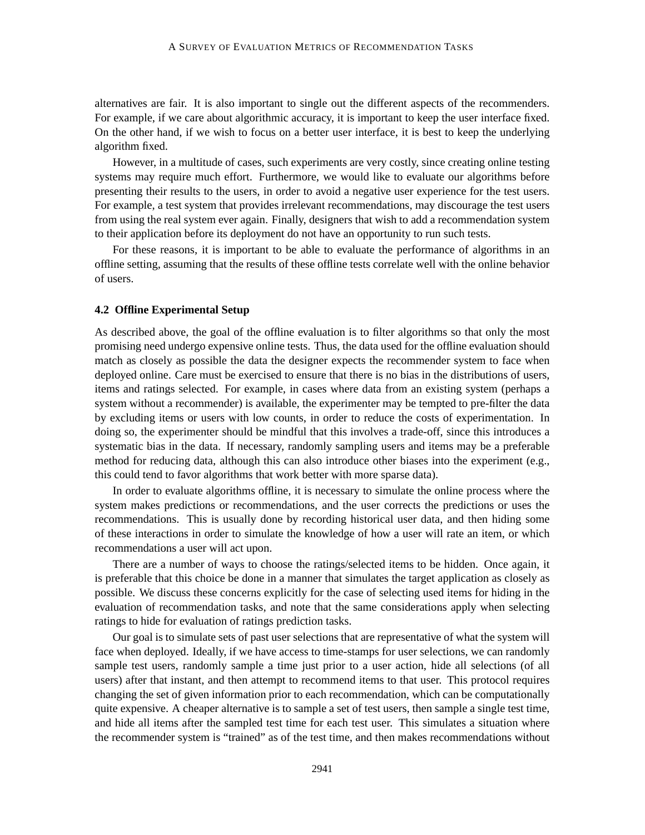alternatives are fair. It is also important to single out the different aspects of the recommenders. For example, if we care about algorithmic accuracy, it is important to keep the user interface fixed. On the other hand, if we wish to focus on a better user interface, it is best to keep the underlying algorithm fixed.

However, in a multitude of cases, such experiments are very costly, since creating online testing systems may require much effort. Furthermore, we would like to evaluate our algorithms before presenting their results to the users, in order to avoid a negative user experience for the test users. For example, a test system that provides irrelevant recommendations, may discourage the test users from using the real system ever again. Finally, designers that wish to add a recommendation system to their application before its deployment do not have an opportunity to run such tests.

For these reasons, it is important to be able to evaluate the performance of algorithms in an offline setting, assuming that the results of these offline tests correlate well with the online behavior of users.

## **4.2 Offline Experimental Setup**

As described above, the goal of the offline evaluation is to filter algorithms so that only the most promising need undergo expensive online tests. Thus, the data used for the offline evaluation should match as closely as possible the data the designer expects the recommender system to face when deployed online. Care must be exercised to ensure that there is no bias in the distributions of users, items and ratings selected. For example, in cases where data from an existing system (perhaps a system without a recommender) is available, the experimenter may be tempted to pre-filter the data by excluding items or users with low counts, in order to reduce the costs of experimentation. In doing so, the experimenter should be mindful that this involves a trade-off, since this introduces a systematic bias in the data. If necessary, randomly sampling users and items may be a preferable method for reducing data, although this can also introduce other biases into the experiment (e.g., this could tend to favor algorithms that work better with more sparse data).

In order to evaluate algorithms offline, it is necessary to simulate the online process where the system makes predictions or recommendations, and the user corrects the predictions or uses the recommendations. This is usually done by recording historical user data, and then hiding some of these interactions in order to simulate the knowledge of how a user will rate an item, or which recommendations a user will act upon.

There are a number of ways to choose the ratings/selected items to be hidden. Once again, it is preferable that this choice be done in a manner that simulates the target application as closely as possible. We discuss these concerns explicitly for the case of selecting used items for hiding in the evaluation of recommendation tasks, and note that the same considerations apply when selecting ratings to hide for evaluation of ratings prediction tasks.

Our goal is to simulate sets of past user selections that are representative of what the system will face when deployed. Ideally, if we have access to time-stamps for user selections, we can randomly sample test users, randomly sample a time just prior to a user action, hide all selections (of all users) after that instant, and then attempt to recommend items to that user. This protocol requires changing the set of given information prior to each recommendation, which can be computationally quite expensive. A cheaper alternative is to sample a set of test users, then sample a single test time, and hide all items after the sampled test time for each test user. This simulates a situation where the recommender system is "trained" as of the test time, and then makes recommendations without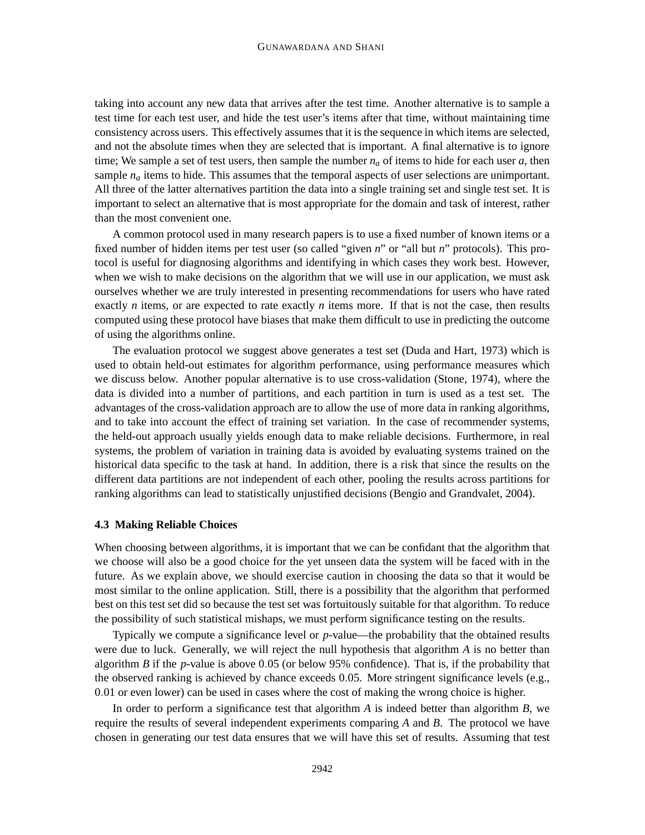taking into account any new data that arrives after the test time. Another alternative is to sample a test time for each test user, and hide the test user's items after that time, without maintaining time consistency across users. This effectively assumes that it is the sequence in which items are selected, and not the absolute times when they are selected that is important. A final alternative is to ignore time; We sample a set of test users, then sample the number  $n_a$  of items to hide for each user  $a$ , then sample  $n_a$  items to hide. This assumes that the temporal aspects of user selections are unimportant. All three of the latter alternatives partition the data into a single training set and single test set. It is important to select an alternative that is most appropriate for the domain and task of interest, rather than the most convenient one.

A common protocol used in many research papers is to use a fixed number of known items or a fixed number of hidden items per test user (so called "given *n*" or "all but *n*" protocols). This protocol is useful for diagnosing algorithms and identifying in which cases they work best. However, when we wish to make decisions on the algorithm that we will use in our application, we must ask ourselves whether we are truly interested in presenting recommendations for users who have rated exactly *n* items, or are expected to rate exactly *n* items more. If that is not the case, then results computed using these protocol have biases that make them difficult to use in predicting the outcome of using the algorithms online.

The evaluation protocol we suggest above generates a test set (Duda and Hart, 1973) which is used to obtain held-out estimates for algorithm performance, using performance measures which we discuss below. Another popular alternative is to use cross-validation (Stone, 1974), where the data is divided into a number of partitions, and each partition in turn is used as a test set. The advantages of the cross-validation approach are to allow the use of more data in ranking algorithms, and to take into account the effect of training set variation. In the case of recommender systems, the held-out approach usually yields enough data to make reliable decisions. Furthermore, in real systems, the problem of variation in training data is avoided by evaluating systems trained on the historical data specific to the task at hand. In addition, there is a risk that since the results on the different data partitions are not independent of each other, pooling the results across partitions for ranking algorithms can lead to statistically unjustified decisions (Bengio and Grandvalet, 2004).

#### **4.3 Making Reliable Choices**

When choosing between algorithms, it is important that we can be confidant that the algorithm that we choose will also be a good choice for the yet unseen data the system will be faced with in the future. As we explain above, we should exercise caution in choosing the data so that it would be most similar to the online application. Still, there is a possibility that the algorithm that performed best on this test set did so because the test set was fortuitously suitable for that algorithm. To reduce the possibility of such statistical mishaps, we must perform significance testing on the results.

Typically we compute a significance level or *p*-value—the probability that the obtained results were due to luck. Generally, we will reject the null hypothesis that algorithm *A* is no better than algorithm *B* if the *p*-value is above 0.05 (or below 95% confidence). That is, if the probability that the observed ranking is achieved by chance exceeds 0.05. More stringent significance levels (e.g., 0.01 or even lower) can be used in cases where the cost of making the wrong choice is higher.

In order to perform a significance test that algorithm *A* is indeed better than algorithm *B*, we require the results of several independent experiments comparing *A* and *B*. The protocol we have chosen in generating our test data ensures that we will have this set of results. Assuming that test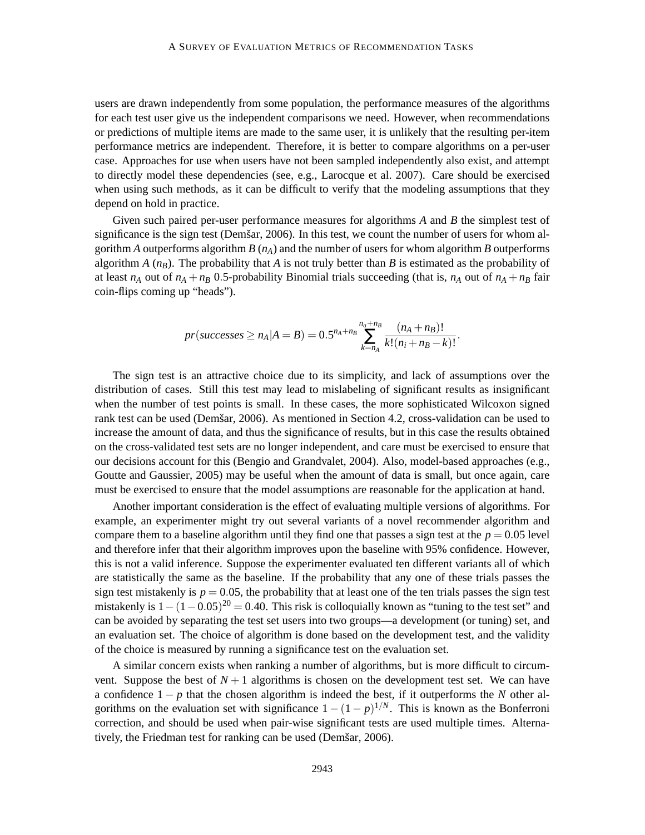users are drawn independently from some population, the performance measures of the algorithms for each test user give us the independent comparisons we need. However, when recommendations or predictions of multiple items are made to the same user, it is unlikely that the resulting per-item performance metrics are independent. Therefore, it is better to compare algorithms on a per-user case. Approaches for use when users have not been sampled independently also exist, and attempt to directly model these dependencies (see, e.g., Larocque et al. 2007). Care should be exercised when using such methods, as it can be difficult to verify that the modeling assumptions that they depend on hold in practice.

Given such paired per-user performance measures for algorithms *A* and *B* the simplest test of significance is the sign test (Demšar, 2006). In this test, we count the number of users for whom algorithm *A* outperforms algorithm *B* (*nA*) and the number of users for whom algorithm *B* outperforms algorithm *A* ( $n<sub>B</sub>$ ). The probability that *A* is not truly better than *B* is estimated as the probability of at least  $n_A$  out of  $n_A + n_B$  0.5-probability Binomial trials succeeding (that is,  $n_A$  out of  $n_A + n_B$  fair coin-flips coming up "heads").

$$
pr(successes \geq n_A|A=B) = 0.5^{n_A+n_B} \sum_{k=n_A}^{n_a+n_B} \frac{(n_A+n_B)!}{k!(n_i+n_B-k)!}.
$$

The sign test is an attractive choice due to its simplicity, and lack of assumptions over the distribution of cases. Still this test may lead to mislabeling of significant results as insignificant when the number of test points is small. In these cases, the more sophisticated Wilcoxon signed rank test can be used (Demšar, 2006). As mentioned in Section 4.2, cross-validation can be used to increase the amount of data, and thus the significance of results, but in this case the results obtained on the cross-validated test sets are no longer independent, and care must be exercised to ensure that our decisions account for this (Bengio and Grandvalet, 2004). Also, model-based approaches (e.g., Goutte and Gaussier, 2005) may be useful when the amount of data is small, but once again, care must be exercised to ensure that the model assumptions are reasonable for the application at hand.

Another important consideration is the effect of evaluating multiple versions of algorithms. For example, an experimenter might try out several variants of a novel recommender algorithm and compare them to a baseline algorithm until they find one that passes a sign test at the  $p = 0.05$  level and therefore infer that their algorithm improves upon the baseline with 95% confidence. However, this is not a valid inference. Suppose the experimenter evaluated ten different variants all of which are statistically the same as the baseline. If the probability that any one of these trials passes the sign test mistakenly is  $p = 0.05$ , the probability that at least one of the ten trials passes the sign test mistakenly is  $1 - (1 - 0.05)^{20} = 0.40$ . This risk is colloquially known as "tuning to the test set" and can be avoided by separating the test set users into two groups—a development (or tuning) set, and an evaluation set. The choice of algorithm is done based on the development test, and the validity of the choice is measured by running a significance test on the evaluation set.

A similar concern exists when ranking a number of algorithms, but is more difficult to circumvent. Suppose the best of  $N+1$  algorithms is chosen on the development test set. We can have a confidence  $1 - p$  that the chosen algorithm is indeed the best, if it outperforms the *N* other algorithms on the evaluation set with significance  $1 - (1 - p)^{1/N}$ . This is known as the Bonferroni correction, and should be used when pair-wise significant tests are used multiple times. Alternatively, the Friedman test for ranking can be used (Demšar, 2006).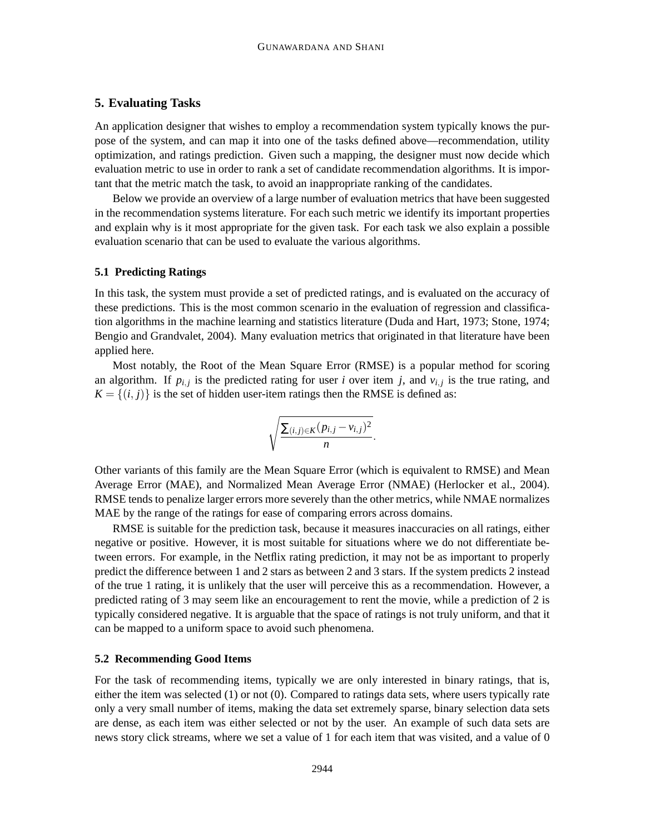## **5. Evaluating Tasks**

An application designer that wishes to employ a recommendation system typically knows the purpose of the system, and can map it into one of the tasks defined above—recommendation, utility optimization, and ratings prediction. Given such a mapping, the designer must now decide which evaluation metric to use in order to rank a set of candidate recommendation algorithms. It is important that the metric match the task, to avoid an inappropriate ranking of the candidates.

Below we provide an overview of a large number of evaluation metrics that have been suggested in the recommendation systems literature. For each such metric we identify its important properties and explain why is it most appropriate for the given task. For each task we also explain a possible evaluation scenario that can be used to evaluate the various algorithms.

#### **5.1 Predicting Ratings**

In this task, the system must provide a set of predicted ratings, and is evaluated on the accuracy of these predictions. This is the most common scenario in the evaluation of regression and classification algorithms in the machine learning and statistics literature (Duda and Hart, 1973; Stone, 1974; Bengio and Grandvalet, 2004). Many evaluation metrics that originated in that literature have been applied here.

Most notably, the Root of the Mean Square Error (RMSE) is a popular method for scoring an algorithm. If  $p_{i,j}$  is the predicted rating for user *i* over item *j*, and  $v_{i,j}$  is the true rating, and  $K = \{(i, j)\}\$ is the set of hidden user-item ratings then the RMSE is defined as:

$$
\sqrt{\frac{\sum_{(i,j)\in K}(p_{i,j}-v_{i,j})^2}{n}}.
$$

Other variants of this family are the Mean Square Error (which is equivalent to RMSE) and Mean Average Error (MAE), and Normalized Mean Average Error (NMAE) (Herlocker et al., 2004). RMSE tends to penalize larger errors more severely than the other metrics, while NMAE normalizes MAE by the range of the ratings for ease of comparing errors across domains.

RMSE is suitable for the prediction task, because it measures inaccuracies on all ratings, either negative or positive. However, it is most suitable for situations where we do not differentiate between errors. For example, in the Netflix rating prediction, it may not be as important to properly predict the difference between 1 and 2 stars as between 2 and 3 stars. If the system predicts 2 instead of the true 1 rating, it is unlikely that the user will perceive this as a recommendation. However, a predicted rating of 3 may seem like an encouragement to rent the movie, while a prediction of 2 is typically considered negative. It is arguable that the space of ratings is not truly uniform, and that it can be mapped to a uniform space to avoid such phenomena.

#### **5.2 Recommending Good Items**

For the task of recommending items, typically we are only interested in binary ratings, that is, either the item was selected (1) or not (0). Compared to ratings data sets, where users typically rate only a very small number of items, making the data set extremely sparse, binary selection data sets are dense, as each item was either selected or not by the user. An example of such data sets are news story click streams, where we set a value of 1 for each item that was visited, and a value of 0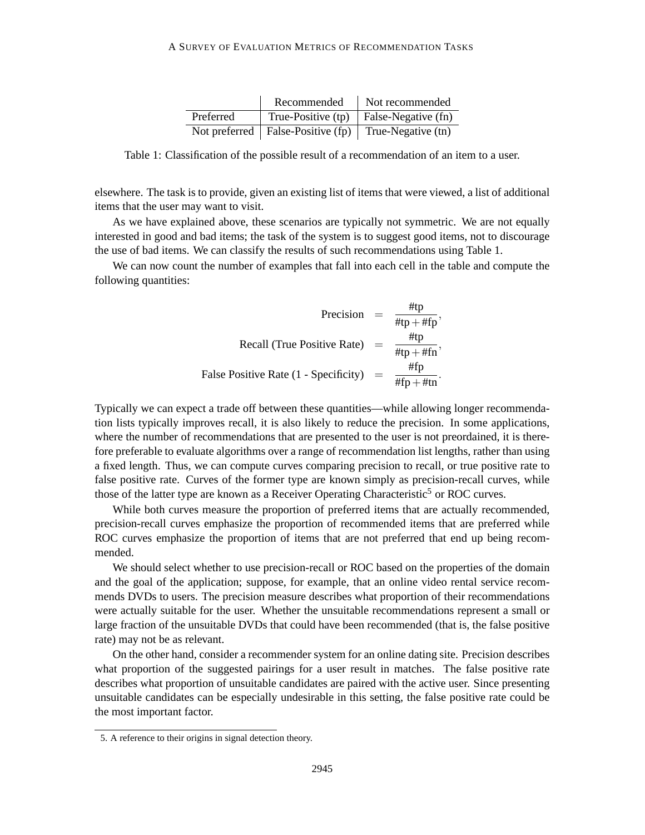|           | Recommended                          | Not recommended     |
|-----------|--------------------------------------|---------------------|
| Preferred | True-Positive (tp)                   | False-Negative (fn) |
|           | Not preferred   False-Positive $(p)$ | True-Negative (tn)  |

Table 1: Classification of the possible result of a recommendation of an item to a user.

elsewhere. The task is to provide, given an existing list of items that were viewed, a list of additional items that the user may want to visit.

As we have explained above, these scenarios are typically not symmetric. We are not equally interested in good and bad items; the task of the system is to suggest good items, not to discourage the use of bad items. We can classify the results of such recommendations using Table 1.

We can now count the number of examples that fall into each cell in the table and compute the following quantities:

$$
\text{Precision} = \frac{\text{#tp}}{\text{#tp} + \text{#fp}},
$$
\n
$$
\text{Recall (True Positive Rate)} = \frac{\text{#tp}}{\text{#tp} + \text{#fn}},
$$
\n
$$
\text{False Positive Rate} (1 - \text{Specificity}) = \frac{\text{#fp}}{\text{#fp} + \text{#tn}}.
$$

Typically we can expect a trade off between these quantities—while allowing longer recommendation lists typically improves recall, it is also likely to reduce the precision. In some applications, where the number of recommendations that are presented to the user is not preordained, it is therefore preferable to evaluate algorithms over a range of recommendation list lengths, rather than using a fixed length. Thus, we can compute curves comparing precision to recall, or true positive rate to false positive rate. Curves of the former type are known simply as precision-recall curves, while those of the latter type are known as a Receiver Operating Characteristic<sup>5</sup> or ROC curves.

While both curves measure the proportion of preferred items that are actually recommended, precision-recall curves emphasize the proportion of recommended items that are preferred while ROC curves emphasize the proportion of items that are not preferred that end up being recommended.

We should select whether to use precision-recall or ROC based on the properties of the domain and the goal of the application; suppose, for example, that an online video rental service recommends DVDs to users. The precision measure describes what proportion of their recommendations were actually suitable for the user. Whether the unsuitable recommendations represent a small or large fraction of the unsuitable DVDs that could have been recommended (that is, the false positive rate) may not be as relevant.

On the other hand, consider a recommender system for an online dating site. Precision describes what proportion of the suggested pairings for a user result in matches. The false positive rate describes what proportion of unsuitable candidates are paired with the active user. Since presenting unsuitable candidates can be especially undesirable in this setting, the false positive rate could be the most important factor.

<sup>5.</sup> A reference to their origins in signal detection theory.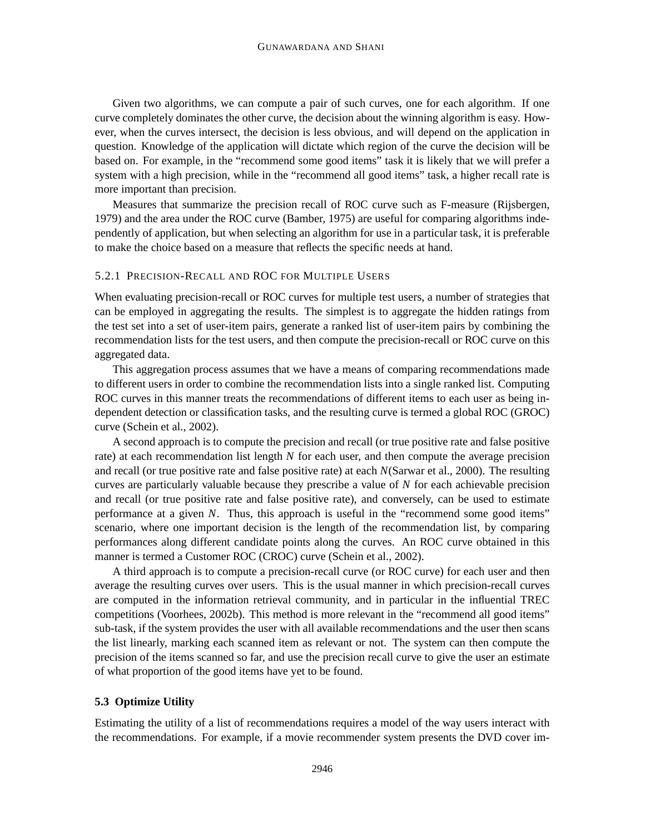Given two algorithms, we can compute a pair of such curves, one for each algorithm. If one curve completely dominates the other curve, the decision about the winning algorithm is easy. However, when the curves intersect, the decision is less obvious, and will depend on the application in question. Knowledge of the application will dictate which region of the curve the decision will be based on. For example, in the "recommend some good items" task it is likely that we will prefer a system with a high precision, while in the "recommend all good items" task, a higher recall rate is more important than precision.

Measures that summarize the precision recall of ROC curve such as F-measure (Rijsbergen, 1979) and the area under the ROC curve (Bamber, 1975) are useful for comparing algorithms independently of application, but when selecting an algorithm for use in a particular task, it is preferable to make the choice based on a measure that reflects the specific needs at hand.

### 5.2.1 PRECISION-RECALL AND ROC FOR MULTIPLE USERS

When evaluating precision-recall or ROC curves for multiple test users, a number of strategies that can be employed in aggregating the results. The simplest is to aggregate the hidden ratings from the test set into a set of user-item pairs, generate a ranked list of user-item pairs by combining the recommendation lists for the test users, and then compute the precision-recall or ROC curve on this aggregated data.

This aggregation process assumes that we have a means of comparing recommendations made to different users in order to combine the recommendation lists into a single ranked list. Computing ROC curves in this manner treats the recommendations of different items to each user as being independent detection or classification tasks, and the resulting curve is termed a global ROC (GROC) curve (Schein et al., 2002).

A second approach is to compute the precision and recall (or true positive rate and false positive rate) at each recommendation list length *N* for each user, and then compute the average precision and recall (or true positive rate and false positive rate) at each *N*(Sarwar et al., 2000). The resulting curves are particularly valuable because they prescribe a value of *N* for each achievable precision and recall (or true positive rate and false positive rate), and conversely, can be used to estimate performance at a given *N*. Thus, this approach is useful in the "recommend some good items" scenario, where one important decision is the length of the recommendation list, by comparing performances along different candidate points along the curves. An ROC curve obtained in this manner is termed a Customer ROC (CROC) curve (Schein et al., 2002).

A third approach is to compute a precision-recall curve (or ROC curve) for each user and then average the resulting curves over users. This is the usual manner in which precision-recall curves are computed in the information retrieval community, and in particular in the influential TREC competitions (Voorhees, 2002b). This method is more relevant in the "recommend all good items" sub-task, if the system provides the user with all available recommendations and the user then scans the list linearly, marking each scanned item as relevant or not. The system can then compute the precision of the items scanned so far, and use the precision recall curve to give the user an estimate of what proportion of the good items have yet to be found.

## **5.3 Optimize Utility**

Estimating the utility of a list of recommendations requires a model of the way users interact with the recommendations. For example, if a movie recommender system presents the DVD cover im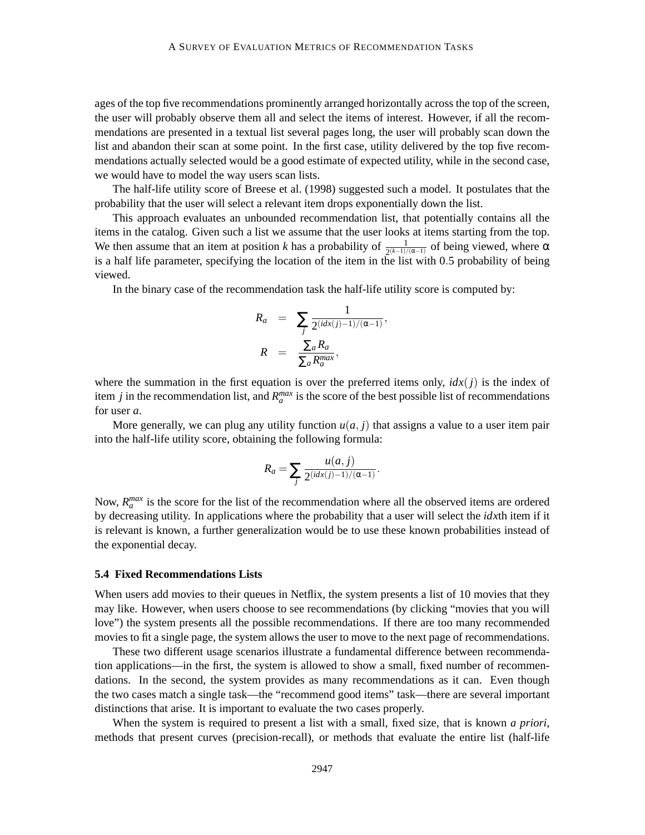ages of the top five recommendations prominently arranged horizontally across the top of the screen, the user will probably observe them all and select the items of interest. However, if all the recommendations are presented in a textual list several pages long, the user will probably scan down the list and abandon their scan at some point. In the first case, utility delivered by the top five recommendations actually selected would be a good estimate of expected utility, while in the second case, we would have to model the way users scan lists.

The half-life utility score of Breese et al. (1998) suggested such a model. It postulates that the probability that the user will select a relevant item drops exponentially down the list.

This approach evaluates an unbounded recommendation list, that potentially contains all the items in the catalog. Given such a list we assume that the user looks at items starting from the top. We then assume that an item at position *k* has a probability of  $\frac{1}{2^{(k-1)/(\alpha-1)}}$  of being viewed, where  $\alpha$ is a half life parameter, specifying the location of the item in the list with 0.5 probability of being viewed.

In the binary case of the recommendation task the half-life utility score is computed by:

$$
R_a = \sum_j \frac{1}{2^{(idx(j)-1)/(\alpha-1)}},
$$
  
\n
$$
R = \frac{\sum_a R_a}{\sum_a R_a^{max}},
$$

where the summation in the first equation is over the preferred items only,  $idx(j)$  is the index of item *j* in the recommendation list, and  $R_a^{max}$  is the score of the best possible list of recommendations for user *a*.

More generally, we can plug any utility function  $u(a, j)$  that assigns a value to a user item pair into the half-life utility score, obtaining the following formula:

$$
R_a = \sum_j \frac{u(a,j)}{2^{(idx(j)-1)/(\alpha-1)}}.
$$

Now,  $R_n^{max}$  is the score for the list of the recommendation where all the observed items are ordered by decreasing utility. In applications where the probability that a user will select the *idx*th item if it is relevant is known, a further generalization would be to use these known probabilities instead of the exponential decay.

#### **5.4 Fixed Recommendations Lists**

When users add movies to their queues in Netflix, the system presents a list of 10 movies that they may like. However, when users choose to see recommendations (by clicking "movies that you will love") the system presents all the possible recommendations. If there are too many recommended movies to fit a single page, the system allows the user to move to the next page of recommendations.

These two different usage scenarios illustrate a fundamental difference between recommendation applications—in the first, the system is allowed to show a small, fixed number of recommendations. In the second, the system provides as many recommendations as it can. Even though the two cases match a single task—the "recommend good items" task—there are several important distinctions that arise. It is important to evaluate the two cases properly.

When the system is required to present a list with a small, fixed size, that is known *a priori*, methods that present curves (precision-recall), or methods that evaluate the entire list (half-life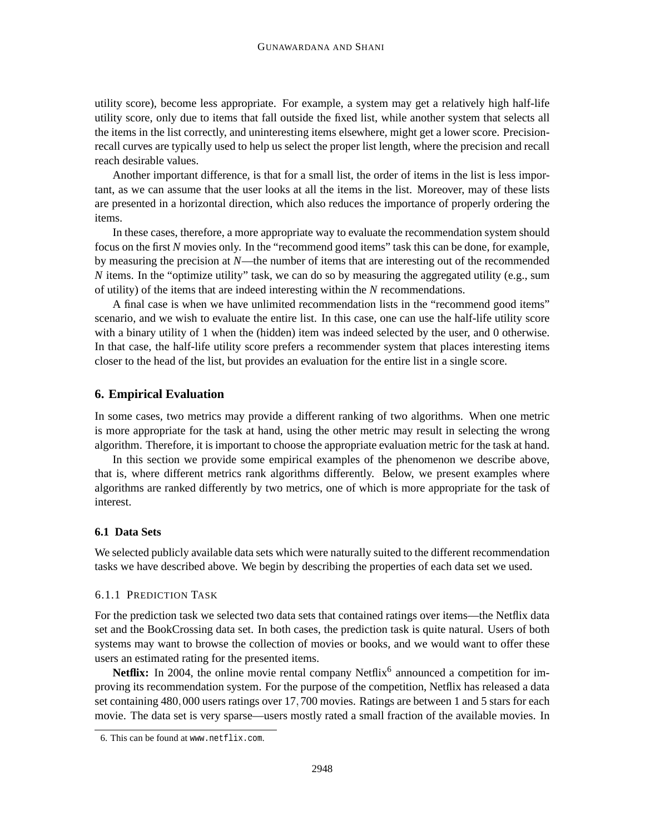utility score), become less appropriate. For example, a system may get a relatively high half-life utility score, only due to items that fall outside the fixed list, while another system that selects all the items in the list correctly, and uninteresting items elsewhere, might get a lower score. Precisionrecall curves are typically used to help us select the proper list length, where the precision and recall reach desirable values.

Another important difference, is that for a small list, the order of items in the list is less important, as we can assume that the user looks at all the items in the list. Moreover, may of these lists are presented in a horizontal direction, which also reduces the importance of properly ordering the items.

In these cases, therefore, a more appropriate way to evaluate the recommendation system should focus on the first *N* movies only. In the "recommend good items" task this can be done, for example, by measuring the precision at *N*—the number of items that are interesting out of the recommended *N* items. In the "optimize utility" task, we can do so by measuring the aggregated utility (e.g., sum of utility) of the items that are indeed interesting within the *N* recommendations.

A final case is when we have unlimited recommendation lists in the "recommend good items" scenario, and we wish to evaluate the entire list. In this case, one can use the half-life utility score with a binary utility of 1 when the (hidden) item was indeed selected by the user, and 0 otherwise. In that case, the half-life utility score prefers a recommender system that places interesting items closer to the head of the list, but provides an evaluation for the entire list in a single score.

## **6. Empirical Evaluation**

In some cases, two metrics may provide a different ranking of two algorithms. When one metric is more appropriate for the task at hand, using the other metric may result in selecting the wrong algorithm. Therefore, it is important to choose the appropriate evaluation metric for the task at hand.

In this section we provide some empirical examples of the phenomenon we describe above, that is, where different metrics rank algorithms differently. Below, we present examples where algorithms are ranked differently by two metrics, one of which is more appropriate for the task of interest.

## **6.1 Data Sets**

We selected publicly available data sets which were naturally suited to the different recommendation tasks we have described above. We begin by describing the properties of each data set we used.

### 6.1.1 PREDICTION TASK

For the prediction task we selected two data sets that contained ratings over items—the Netflix data set and the BookCrossing data set. In both cases, the prediction task is quite natural. Users of both systems may want to browse the collection of movies or books, and we would want to offer these users an estimated rating for the presented items.

Netflix: In 2004, the online movie rental company Netflix<sup>6</sup> announced a competition for improving its recommendation system. For the purpose of the competition, Netflix has released a data set containing 480,000 users ratings over 17,700 movies. Ratings are between 1 and 5 stars for each movie. The data set is very sparse—users mostly rated a small fraction of the available movies. In

<sup>6.</sup> This can be found at www.netflix.com.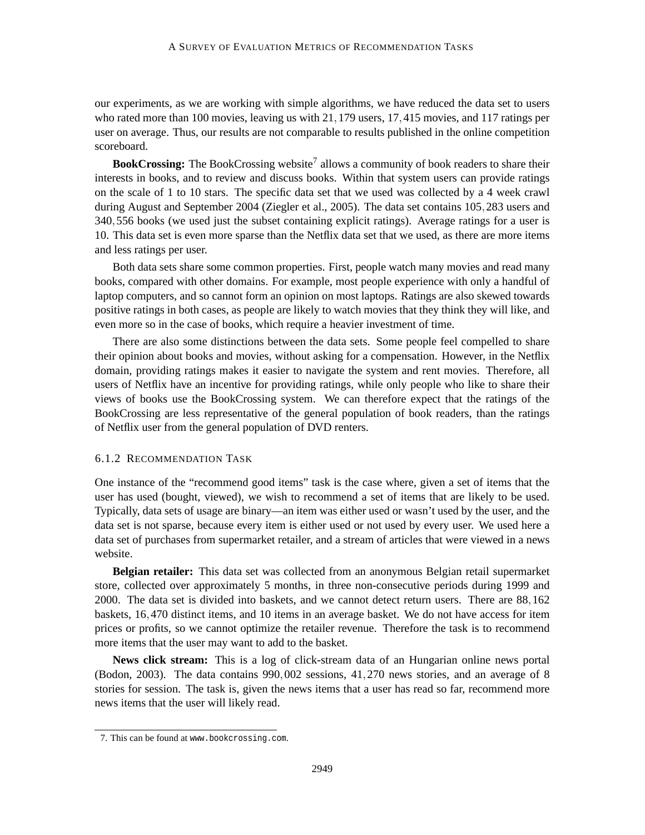our experiments, as we are working with simple algorithms, we have reduced the data set to users who rated more than 100 movies, leaving us with 21,179 users, 17,415 movies, and 117 ratings per user on average. Thus, our results are not comparable to results published in the online competition scoreboard.

BookCrossing: The BookCrossing website<sup>7</sup> allows a community of book readers to share their interests in books, and to review and discuss books. Within that system users can provide ratings on the scale of 1 to 10 stars. The specific data set that we used was collected by a 4 week crawl during August and September 2004 (Ziegler et al., 2005). The data set contains 105,283 users and 340,556 books (we used just the subset containing explicit ratings). Average ratings for a user is 10. This data set is even more sparse than the Netflix data set that we used, as there are more items and less ratings per user.

Both data sets share some common properties. First, people watch many movies and read many books, compared with other domains. For example, most people experience with only a handful of laptop computers, and so cannot form an opinion on most laptops. Ratings are also skewed towards positive ratings in both cases, as people are likely to watch movies that they think they will like, and even more so in the case of books, which require a heavier investment of time.

There are also some distinctions between the data sets. Some people feel compelled to share their opinion about books and movies, without asking for a compensation. However, in the Netflix domain, providing ratings makes it easier to navigate the system and rent movies. Therefore, all users of Netflix have an incentive for providing ratings, while only people who like to share their views of books use the BookCrossing system. We can therefore expect that the ratings of the BookCrossing are less representative of the general population of book readers, than the ratings of Netflix user from the general population of DVD renters.

#### 6.1.2 RECOMMENDATION TASK

One instance of the "recommend good items" task is the case where, given a set of items that the user has used (bought, viewed), we wish to recommend a set of items that are likely to be used. Typically, data sets of usage are binary—an item was either used or wasn't used by the user, and the data set is not sparse, because every item is either used or not used by every user. We used here a data set of purchases from supermarket retailer, and a stream of articles that were viewed in a news website.

**Belgian retailer:** This data set was collected from an anonymous Belgian retail supermarket store, collected over approximately 5 months, in three non-consecutive periods during 1999 and 2000. The data set is divided into baskets, and we cannot detect return users. There are 88,162 baskets, 16,470 distinct items, and 10 items in an average basket. We do not have access for item prices or profits, so we cannot optimize the retailer revenue. Therefore the task is to recommend more items that the user may want to add to the basket.

**News click stream:** This is a log of click-stream data of an Hungarian online news portal (Bodon, 2003). The data contains 990,002 sessions, 41,270 news stories, and an average of 8 stories for session. The task is, given the news items that a user has read so far, recommend more news items that the user will likely read.

<sup>7.</sup> This can be found at www.bookcrossing.com.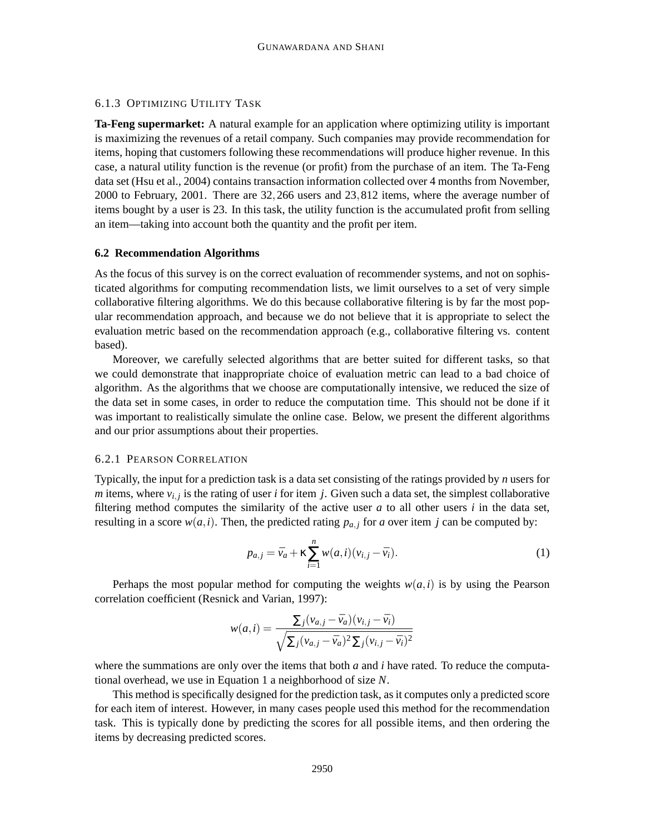## 6.1.3 OPTIMIZING UTILITY TASK

**Ta-Feng supermarket:** A natural example for an application where optimizing utility is important is maximizing the revenues of a retail company. Such companies may provide recommendation for items, hoping that customers following these recommendations will produce higher revenue. In this case, a natural utility function is the revenue (or profit) from the purchase of an item. The Ta-Feng data set (Hsu et al., 2004) contains transaction information collected over 4 months from November, 2000 to February, 2001. There are 32,266 users and 23,812 items, where the average number of items bought by a user is 23. In this task, the utility function is the accumulated profit from selling an item—taking into account both the quantity and the profit per item.

#### **6.2 Recommendation Algorithms**

As the focus of this survey is on the correct evaluation of recommender systems, and not on sophisticated algorithms for computing recommendation lists, we limit ourselves to a set of very simple collaborative filtering algorithms. We do this because collaborative filtering is by far the most popular recommendation approach, and because we do not believe that it is appropriate to select the evaluation metric based on the recommendation approach (e.g., collaborative filtering vs. content based).

Moreover, we carefully selected algorithms that are better suited for different tasks, so that we could demonstrate that inappropriate choice of evaluation metric can lead to a bad choice of algorithm. As the algorithms that we choose are computationally intensive, we reduced the size of the data set in some cases, in order to reduce the computation time. This should not be done if it was important to realistically simulate the online case. Below, we present the different algorithms and our prior assumptions about their properties.

## 6.2.1 PEARSON CORRELATION

Typically, the input for a prediction task is a data set consisting of the ratings provided by *n* users for *m* items, where  $v_{i,j}$  is the rating of user *i* for item *j*. Given such a data set, the simplest collaborative filtering method computes the similarity of the active user  $a$  to all other users  $i$  in the data set, resulting in a score  $w(a, i)$ . Then, the predicted rating  $p_{a,i}$  for *a* over item *j* can be computed by:

$$
p_{a,j} = \bar{v}_a + \kappa \sum_{i=1}^n w(a,i)(v_{i,j} - \bar{v}_i).
$$
 (1)

Perhaps the most popular method for computing the weights  $w(a, i)$  is by using the Pearson correlation coefficient (Resnick and Varian, 1997):

$$
w(a,i) = \frac{\sum_j (v_{a,j} - \bar{v}_a)(v_{i,j} - \bar{v}_i)}{\sqrt{\sum_j (v_{a,j} - \bar{v}_a)^2 \sum_j (v_{i,j} - \bar{v}_i)^2}}
$$

where the summations are only over the items that both *a* and *i* have rated. To reduce the computational overhead, we use in Equation 1 a neighborhood of size *N*.

This method is specifically designed for the prediction task, as it computes only a predicted score for each item of interest. However, in many cases people used this method for the recommendation task. This is typically done by predicting the scores for all possible items, and then ordering the items by decreasing predicted scores.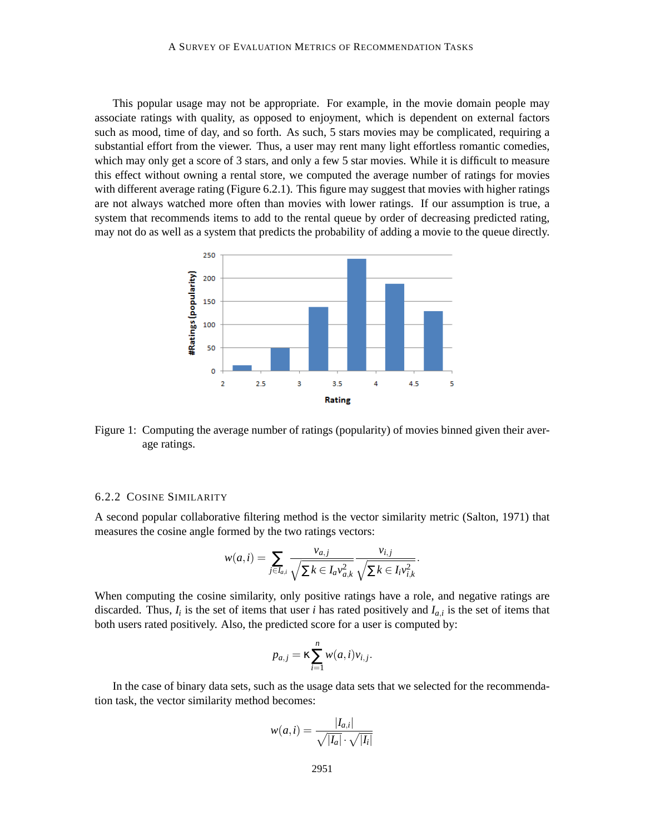This popular usage may not be appropriate. For example, in the movie domain people may associate ratings with quality, as opposed to enjoyment, which is dependent on external factors such as mood, time of day, and so forth. As such, 5 stars movies may be complicated, requiring a substantial effort from the viewer. Thus, a user may rent many light effortless romantic comedies, which may only get a score of 3 stars, and only a few 5 star movies. While it is difficult to measure this effect without owning a rental store, we computed the average number of ratings for movies with different average rating (Figure 6.2.1). This figure may suggest that movies with higher ratings are not always watched more often than movies with lower ratings. If our assumption is true, a system that recommends items to add to the rental queue by order of decreasing predicted rating, may not do as well as a system that predicts the probability of adding a movie to the queue directly.



Figure 1: Computing the average number of ratings (popularity) of movies binned given their average ratings.

## 6.2.2 COSINE SIMILARITY

A second popular collaborative filtering method is the vector similarity metric (Salton, 1971) that measures the cosine angle formed by the two ratings vectors:

$$
w(a,i) = \sum_{j \in I_{a,i}} \frac{v_{a,j}}{\sqrt{\sum k \in I_a v_{a,k}^2}} \frac{v_{i,j}}{\sqrt{\sum k \in I_i v_{i,k}^2}}.
$$

When computing the cosine similarity, only positive ratings have a role, and negative ratings are discarded. Thus,  $I_i$  is the set of items that user *i* has rated positively and  $I_{a,i}$  is the set of items that both users rated positively. Also, the predicted score for a user is computed by:

$$
p_{a,j} = \kappa \sum_{i=1}^n w(a,i) v_{i,j}.
$$

In the case of binary data sets, such as the usage data sets that we selected for the recommendation task, the vector similarity method becomes:

$$
w(a,i) = \frac{|I_{a,i}|}{\sqrt{|I_a|} \cdot \sqrt{|I_i|}}
$$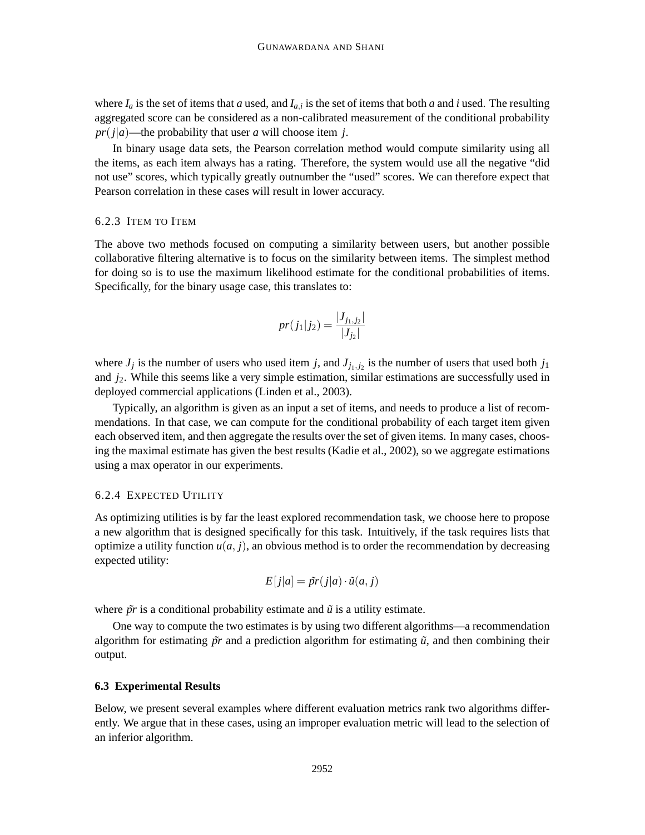where  $I_a$  is the set of items that *a* used, and  $I_{a,i}$  is the set of items that both *a* and *i* used. The resulting aggregated score can be considered as a non-calibrated measurement of the conditional probability  $pr(j|a)$ —the probability that user *a* will choose item *j*.

In binary usage data sets, the Pearson correlation method would compute similarity using all the items, as each item always has a rating. Therefore, the system would use all the negative "did not use" scores, which typically greatly outnumber the "used" scores. We can therefore expect that Pearson correlation in these cases will result in lower accuracy.

#### 6.2.3 ITEM TO ITEM

The above two methods focused on computing a similarity between users, but another possible collaborative filtering alternative is to focus on the similarity between items. The simplest method for doing so is to use the maximum likelihood estimate for the conditional probabilities of items. Specifically, for the binary usage case, this translates to:

$$
pr(j_1|j_2) = \frac{|J_{j_1,j_2}|}{|J_{j_2}|}
$$

where  $J_j$  is the number of users who used item *j*, and  $J_{j_1,j_2}$  is the number of users that used both  $j_1$ and *j*2. While this seems like a very simple estimation, similar estimations are successfully used in deployed commercial applications (Linden et al., 2003).

Typically, an algorithm is given as an input a set of items, and needs to produce a list of recommendations. In that case, we can compute for the conditional probability of each target item given each observed item, and then aggregate the results over the set of given items. In many cases, choosing the maximal estimate has given the best results (Kadie et al., 2002), so we aggregate estimations using a max operator in our experiments.

#### 6.2.4 EXPECTED UTILITY

As optimizing utilities is by far the least explored recommendation task, we choose here to propose a new algorithm that is designed specifically for this task. Intuitively, if the task requires lists that optimize a utility function  $u(a, j)$ , an obvious method is to order the recommendation by decreasing expected utility:

$$
E[j|a] = \tilde{pr}(j|a) \cdot \tilde{u}(a,j)
$$

where  $\tilde{p}r$  is a conditional probability estimate and  $\tilde{u}$  is a utility estimate.

One way to compute the two estimates is by using two different algorithms—a recommendation algorithm for estimating  $\tilde{p}r$  and a prediction algorithm for estimating  $\tilde{u}$ , and then combining their output.

#### **6.3 Experimental Results**

Below, we present several examples where different evaluation metrics rank two algorithms differently. We argue that in these cases, using an improper evaluation metric will lead to the selection of an inferior algorithm.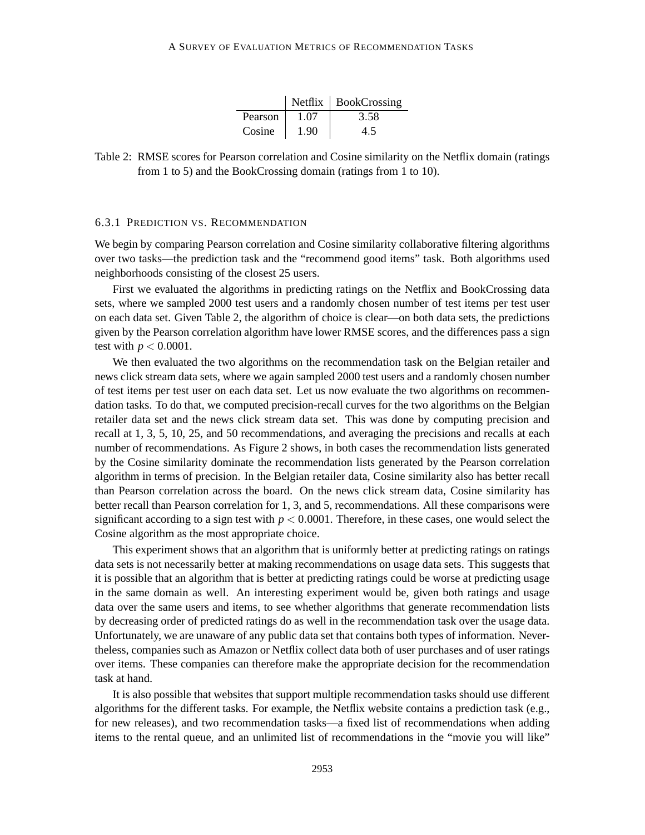|         |      | $Netfix$ BookCrossing |
|---------|------|-----------------------|
| Pearson | 1.07 | 3.58                  |
| Cosine  | 1.90 | 45                    |

Table 2: RMSE scores for Pearson correlation and Cosine similarity on the Netflix domain (ratings from 1 to 5) and the BookCrossing domain (ratings from 1 to 10).

#### 6.3.1 PREDICTION VS. RECOMMENDATION

We begin by comparing Pearson correlation and Cosine similarity collaborative filtering algorithms over two tasks—the prediction task and the "recommend good items" task. Both algorithms used neighborhoods consisting of the closest 25 users.

First we evaluated the algorithms in predicting ratings on the Netflix and BookCrossing data sets, where we sampled 2000 test users and a randomly chosen number of test items per test user on each data set. Given Table 2, the algorithm of choice is clear—on both data sets, the predictions given by the Pearson correlation algorithm have lower RMSE scores, and the differences pass a sign test with  $p < 0.0001$ .

We then evaluated the two algorithms on the recommendation task on the Belgian retailer and news click stream data sets, where we again sampled 2000 test users and a randomly chosen number of test items per test user on each data set. Let us now evaluate the two algorithms on recommendation tasks. To do that, we computed precision-recall curves for the two algorithms on the Belgian retailer data set and the news click stream data set. This was done by computing precision and recall at 1, 3, 5, 10, 25, and 50 recommendations, and averaging the precisions and recalls at each number of recommendations. As Figure 2 shows, in both cases the recommendation lists generated by the Cosine similarity dominate the recommendation lists generated by the Pearson correlation algorithm in terms of precision. In the Belgian retailer data, Cosine similarity also has better recall than Pearson correlation across the board. On the news click stream data, Cosine similarity has better recall than Pearson correlation for 1, 3, and 5, recommendations. All these comparisons were significant according to a sign test with  $p < 0.0001$ . Therefore, in these cases, one would select the Cosine algorithm as the most appropriate choice.

This experiment shows that an algorithm that is uniformly better at predicting ratings on ratings data sets is not necessarily better at making recommendations on usage data sets. This suggests that it is possible that an algorithm that is better at predicting ratings could be worse at predicting usage in the same domain as well. An interesting experiment would be, given both ratings and usage data over the same users and items, to see whether algorithms that generate recommendation lists by decreasing order of predicted ratings do as well in the recommendation task over the usage data. Unfortunately, we are unaware of any public data set that contains both types of information. Nevertheless, companies such as Amazon or Netflix collect data both of user purchases and of user ratings over items. These companies can therefore make the appropriate decision for the recommendation task at hand.

It is also possible that websites that support multiple recommendation tasks should use different algorithms for the different tasks. For example, the Netflix website contains a prediction task (e.g., for new releases), and two recommendation tasks—a fixed list of recommendations when adding items to the rental queue, and an unlimited list of recommendations in the "movie you will like"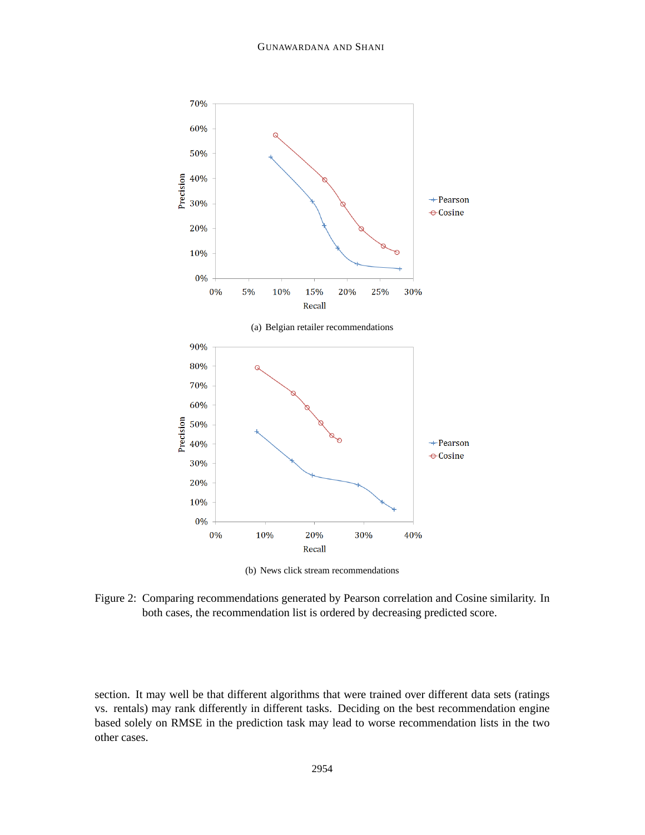

(b) News click stream recommendations

Figure 2: Comparing recommendations generated by Pearson correlation and Cosine similarity. In both cases, the recommendation list is ordered by decreasing predicted score.

section. It may well be that different algorithms that were trained over different data sets (ratings vs. rentals) may rank differently in different tasks. Deciding on the best recommendation engine based solely on RMSE in the prediction task may lead to worse recommendation lists in the two other cases.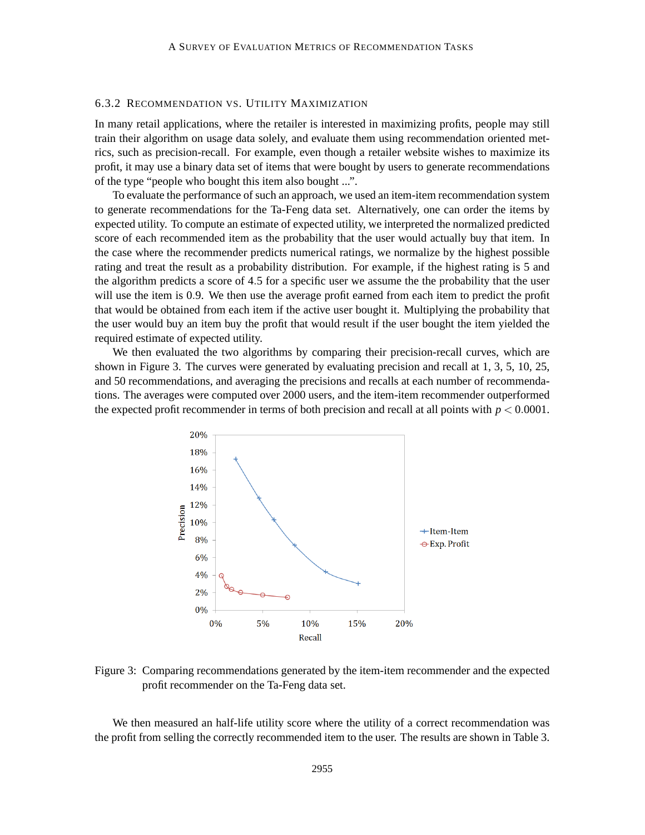## 6.3.2 RECOMMENDATION VS. UTILITY MAXIMIZATION

In many retail applications, where the retailer is interested in maximizing profits, people may still train their algorithm on usage data solely, and evaluate them using recommendation oriented metrics, such as precision-recall. For example, even though a retailer website wishes to maximize its profit, it may use a binary data set of items that were bought by users to generate recommendations of the type "people who bought this item also bought ...".

To evaluate the performance of such an approach, we used an item-item recommendation system to generate recommendations for the Ta-Feng data set. Alternatively, one can order the items by expected utility. To compute an estimate of expected utility, we interpreted the normalized predicted score of each recommended item as the probability that the user would actually buy that item. In the case where the recommender predicts numerical ratings, we normalize by the highest possible rating and treat the result as a probability distribution. For example, if the highest rating is 5 and the algorithm predicts a score of 4.5 for a specific user we assume the the probability that the user will use the item is 0.9. We then use the average profit earned from each item to predict the profit that would be obtained from each item if the active user bought it. Multiplying the probability that the user would buy an item buy the profit that would result if the user bought the item yielded the required estimate of expected utility.

We then evaluated the two algorithms by comparing their precision-recall curves, which are shown in Figure 3. The curves were generated by evaluating precision and recall at 1, 3, 5, 10, 25, and 50 recommendations, and averaging the precisions and recalls at each number of recommendations. The averages were computed over 2000 users, and the item-item recommender outperformed the expected profit recommender in terms of both precision and recall at all points with  $p < 0.0001$ .



Figure 3: Comparing recommendations generated by the item-item recommender and the expected profit recommender on the Ta-Feng data set.

We then measured an half-life utility score where the utility of a correct recommendation was the profit from selling the correctly recommended item to the user. The results are shown in Table 3.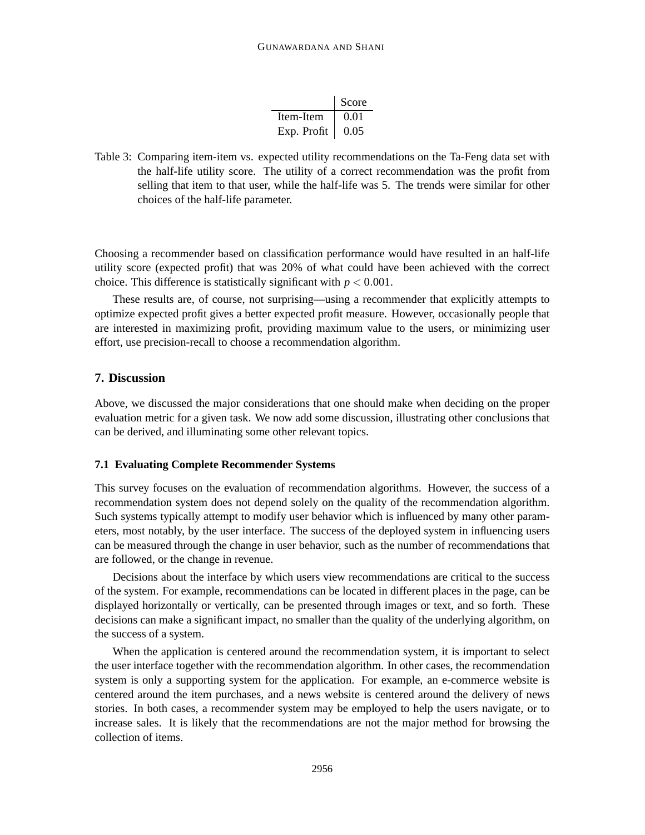|             | Score |
|-------------|-------|
| Item-Item   | 0.01  |
| Exp. Profit | 0.05  |

Table 3: Comparing item-item vs. expected utility recommendations on the Ta-Feng data set with the half-life utility score. The utility of a correct recommendation was the profit from selling that item to that user, while the half-life was 5. The trends were similar for other choices of the half-life parameter.

Choosing a recommender based on classification performance would have resulted in an half-life utility score (expected profit) that was 20% of what could have been achieved with the correct choice. This difference is statistically significant with  $p < 0.001$ .

These results are, of course, not surprising—using a recommender that explicitly attempts to optimize expected profit gives a better expected profit measure. However, occasionally people that are interested in maximizing profit, providing maximum value to the users, or minimizing user effort, use precision-recall to choose a recommendation algorithm.

## **7. Discussion**

Above, we discussed the major considerations that one should make when deciding on the proper evaluation metric for a given task. We now add some discussion, illustrating other conclusions that can be derived, and illuminating some other relevant topics.

## **7.1 Evaluating Complete Recommender Systems**

This survey focuses on the evaluation of recommendation algorithms. However, the success of a recommendation system does not depend solely on the quality of the recommendation algorithm. Such systems typically attempt to modify user behavior which is influenced by many other parameters, most notably, by the user interface. The success of the deployed system in influencing users can be measured through the change in user behavior, such as the number of recommendations that are followed, or the change in revenue.

Decisions about the interface by which users view recommendations are critical to the success of the system. For example, recommendations can be located in different places in the page, can be displayed horizontally or vertically, can be presented through images or text, and so forth. These decisions can make a significant impact, no smaller than the quality of the underlying algorithm, on the success of a system.

When the application is centered around the recommendation system, it is important to select the user interface together with the recommendation algorithm. In other cases, the recommendation system is only a supporting system for the application. For example, an e-commerce website is centered around the item purchases, and a news website is centered around the delivery of news stories. In both cases, a recommender system may be employed to help the users navigate, or to increase sales. It is likely that the recommendations are not the major method for browsing the collection of items.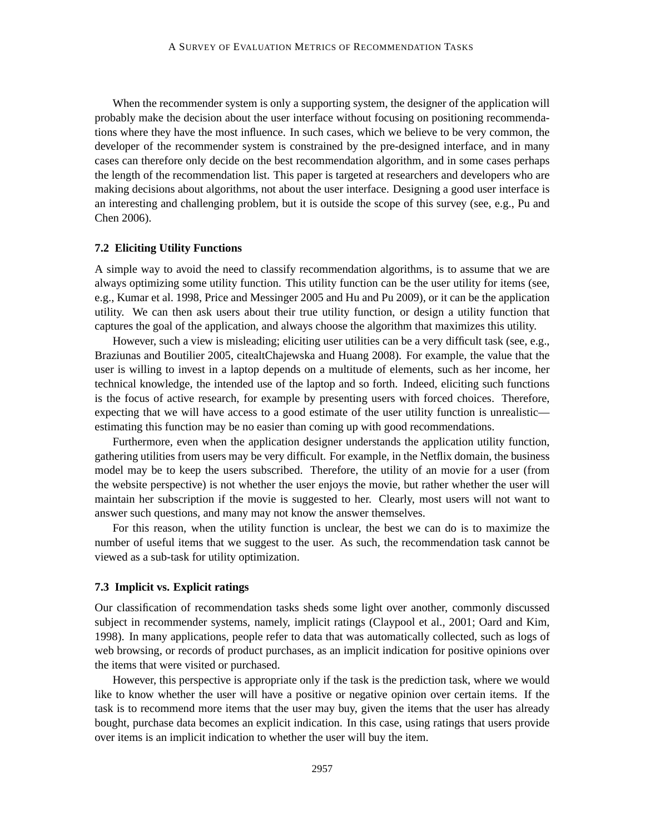When the recommender system is only a supporting system, the designer of the application will probably make the decision about the user interface without focusing on positioning recommendations where they have the most influence. In such cases, which we believe to be very common, the developer of the recommender system is constrained by the pre-designed interface, and in many cases can therefore only decide on the best recommendation algorithm, and in some cases perhaps the length of the recommendation list. This paper is targeted at researchers and developers who are making decisions about algorithms, not about the user interface. Designing a good user interface is an interesting and challenging problem, but it is outside the scope of this survey (see, e.g., Pu and Chen 2006).

#### **7.2 Eliciting Utility Functions**

A simple way to avoid the need to classify recommendation algorithms, is to assume that we are always optimizing some utility function. This utility function can be the user utility for items (see, e.g., Kumar et al. 1998, Price and Messinger 2005 and Hu and Pu 2009), or it can be the application utility. We can then ask users about their true utility function, or design a utility function that captures the goal of the application, and always choose the algorithm that maximizes this utility.

However, such a view is misleading; eliciting user utilities can be a very difficult task (see, e.g., Braziunas and Boutilier 2005, citealtChajewska and Huang 2008). For example, the value that the user is willing to invest in a laptop depends on a multitude of elements, such as her income, her technical knowledge, the intended use of the laptop and so forth. Indeed, eliciting such functions is the focus of active research, for example by presenting users with forced choices. Therefore, expecting that we will have access to a good estimate of the user utility function is unrealistic estimating this function may be no easier than coming up with good recommendations.

Furthermore, even when the application designer understands the application utility function, gathering utilities from users may be very difficult. For example, in the Netflix domain, the business model may be to keep the users subscribed. Therefore, the utility of an movie for a user (from the website perspective) is not whether the user enjoys the movie, but rather whether the user will maintain her subscription if the movie is suggested to her. Clearly, most users will not want to answer such questions, and many may not know the answer themselves.

For this reason, when the utility function is unclear, the best we can do is to maximize the number of useful items that we suggest to the user. As such, the recommendation task cannot be viewed as a sub-task for utility optimization.

## **7.3 Implicit vs. Explicit ratings**

Our classification of recommendation tasks sheds some light over another, commonly discussed subject in recommender systems, namely, implicit ratings (Claypool et al., 2001; Oard and Kim, 1998). In many applications, people refer to data that was automatically collected, such as logs of web browsing, or records of product purchases, as an implicit indication for positive opinions over the items that were visited or purchased.

However, this perspective is appropriate only if the task is the prediction task, where we would like to know whether the user will have a positive or negative opinion over certain items. If the task is to recommend more items that the user may buy, given the items that the user has already bought, purchase data becomes an explicit indication. In this case, using ratings that users provide over items is an implicit indication to whether the user will buy the item.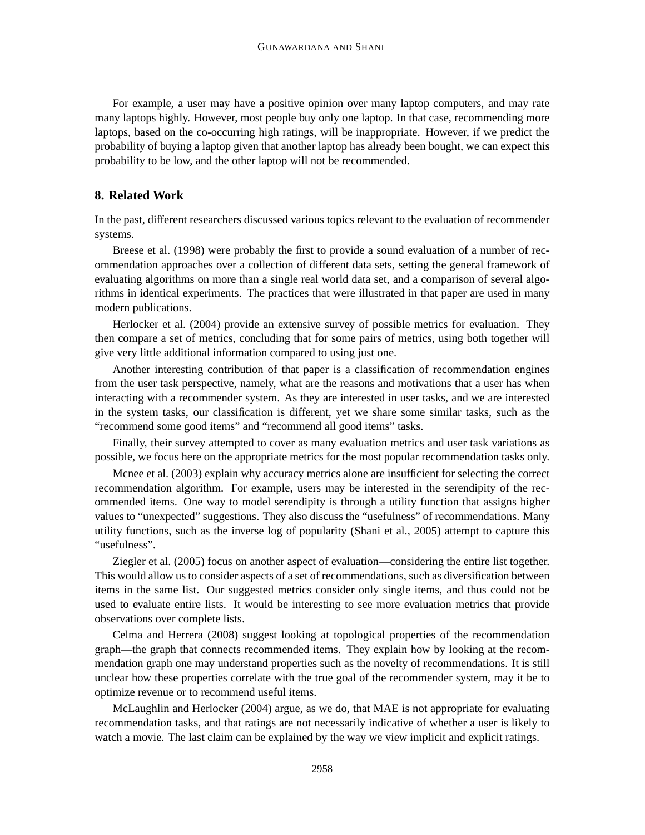For example, a user may have a positive opinion over many laptop computers, and may rate many laptops highly. However, most people buy only one laptop. In that case, recommending more laptops, based on the co-occurring high ratings, will be inappropriate. However, if we predict the probability of buying a laptop given that another laptop has already been bought, we can expect this probability to be low, and the other laptop will not be recommended.

## **8. Related Work**

In the past, different researchers discussed various topics relevant to the evaluation of recommender systems.

Breese et al. (1998) were probably the first to provide a sound evaluation of a number of recommendation approaches over a collection of different data sets, setting the general framework of evaluating algorithms on more than a single real world data set, and a comparison of several algorithms in identical experiments. The practices that were illustrated in that paper are used in many modern publications.

Herlocker et al. (2004) provide an extensive survey of possible metrics for evaluation. They then compare a set of metrics, concluding that for some pairs of metrics, using both together will give very little additional information compared to using just one.

Another interesting contribution of that paper is a classification of recommendation engines from the user task perspective, namely, what are the reasons and motivations that a user has when interacting with a recommender system. As they are interested in user tasks, and we are interested in the system tasks, our classification is different, yet we share some similar tasks, such as the "recommend some good items" and "recommend all good items" tasks.

Finally, their survey attempted to cover as many evaluation metrics and user task variations as possible, we focus here on the appropriate metrics for the most popular recommendation tasks only.

Mcnee et al. (2003) explain why accuracy metrics alone are insufficient for selecting the correct recommendation algorithm. For example, users may be interested in the serendipity of the recommended items. One way to model serendipity is through a utility function that assigns higher values to "unexpected" suggestions. They also discuss the "usefulness" of recommendations. Many utility functions, such as the inverse log of popularity (Shani et al., 2005) attempt to capture this "usefulness".

Ziegler et al. (2005) focus on another aspect of evaluation—considering the entire list together. This would allow us to consider aspects of a set of recommendations, such as diversification between items in the same list. Our suggested metrics consider only single items, and thus could not be used to evaluate entire lists. It would be interesting to see more evaluation metrics that provide observations over complete lists.

Celma and Herrera (2008) suggest looking at topological properties of the recommendation graph—the graph that connects recommended items. They explain how by looking at the recommendation graph one may understand properties such as the novelty of recommendations. It is still unclear how these properties correlate with the true goal of the recommender system, may it be to optimize revenue or to recommend useful items.

McLaughlin and Herlocker (2004) argue, as we do, that MAE is not appropriate for evaluating recommendation tasks, and that ratings are not necessarily indicative of whether a user is likely to watch a movie. The last claim can be explained by the way we view implicit and explicit ratings.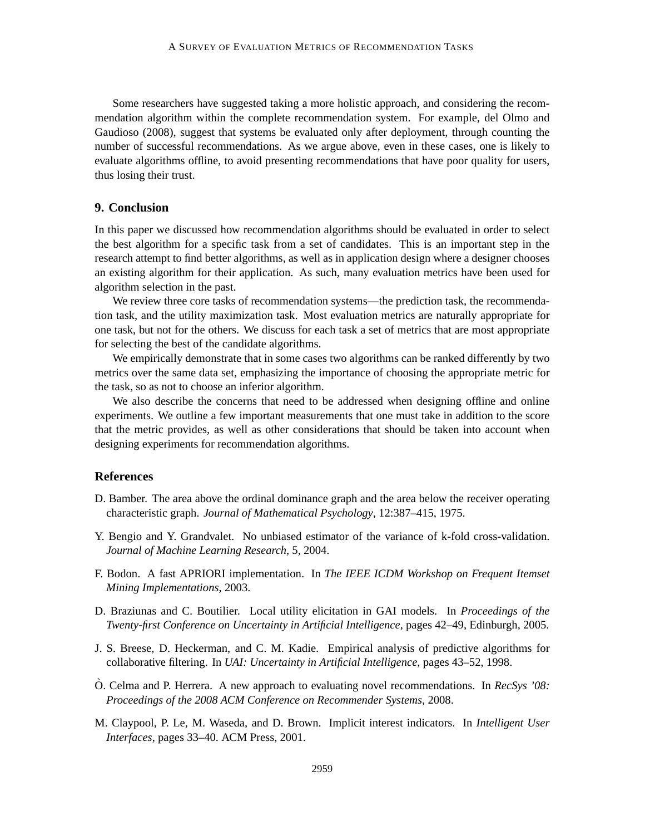Some researchers have suggested taking a more holistic approach, and considering the recommendation algorithm within the complete recommendation system. For example, del Olmo and Gaudioso (2008), suggest that systems be evaluated only after deployment, through counting the number of successful recommendations. As we argue above, even in these cases, one is likely to evaluate algorithms offline, to avoid presenting recommendations that have poor quality for users, thus losing their trust.

## **9. Conclusion**

In this paper we discussed how recommendation algorithms should be evaluated in order to select the best algorithm for a specific task from a set of candidates. This is an important step in the research attempt to find better algorithms, as well as in application design where a designer chooses an existing algorithm for their application. As such, many evaluation metrics have been used for algorithm selection in the past.

We review three core tasks of recommendation systems—the prediction task, the recommendation task, and the utility maximization task. Most evaluation metrics are naturally appropriate for one task, but not for the others. We discuss for each task a set of metrics that are most appropriate for selecting the best of the candidate algorithms.

We empirically demonstrate that in some cases two algorithms can be ranked differently by two metrics over the same data set, emphasizing the importance of choosing the appropriate metric for the task, so as not to choose an inferior algorithm.

We also describe the concerns that need to be addressed when designing offline and online experiments. We outline a few important measurements that one must take in addition to the score that the metric provides, as well as other considerations that should be taken into account when designing experiments for recommendation algorithms.

## **References**

- D. Bamber. The area above the ordinal dominance graph and the area below the receiver operating characteristic graph. *Journal of Mathematical Psychology*, 12:387–415, 1975.
- Y. Bengio and Y. Grandvalet. No unbiased estimator of the variance of k-fold cross-validation. *Journal of Machine Learning Research*, 5, 2004.
- F. Bodon. A fast APRIORI implementation. In *The IEEE ICDM Workshop on Frequent Itemset Mining Implementations*, 2003.
- D. Braziunas and C. Boutilier. Local utility elicitation in GAI models. In *Proceedings of the Twenty-first Conference on Uncertainty in Artificial Intelligence*, pages 42–49, Edinburgh, 2005.
- J. S. Breese, D. Heckerman, and C. M. Kadie. Empirical analysis of predictive algorithms for collaborative filtering. In *UAI: Uncertainty in Artificial Intelligence*, pages 43–52, 1998.
- $\dot{\text{O}}$ . Celma and P. Herrera. A new approach to evaluating novel recommendations. In *RecSys '08: Proceedings of the 2008 ACM Conference on Recommender Systems*, 2008.
- M. Claypool, P. Le, M. Waseda, and D. Brown. Implicit interest indicators. In *Intelligent User Interfaces*, pages 33–40. ACM Press, 2001.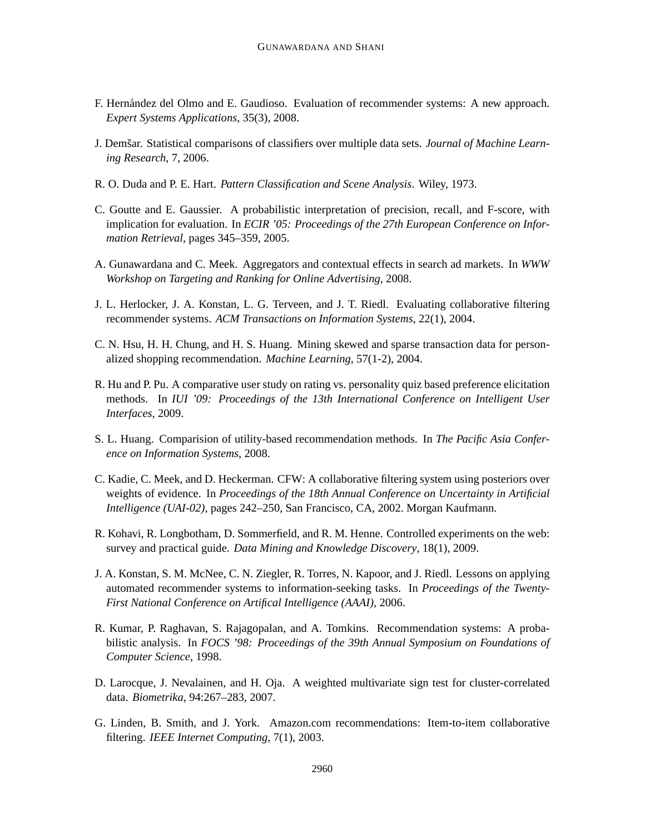- F. Hernández del Olmo and E. Gaudioso. Evaluation of recommender systems: A new approach. *Expert Systems Applications*, 35(3), 2008.
- J. Demšar. Statistical comparisons of classifiers over multiple data sets. *Journal of Machine Learning Research*, 7, 2006.
- R. O. Duda and P. E. Hart. *Pattern Classification and Scene Analysis*. Wiley, 1973.
- C. Goutte and E. Gaussier. A probabilistic interpretation of precision, recall, and F-score, with implication for evaluation. In *ECIR '05: Proceedings of the 27th European Conference on Information Retrieval*, pages 345–359, 2005.
- A. Gunawardana and C. Meek. Aggregators and contextual effects in search ad markets. In *WWW Workshop on Targeting and Ranking for Online Advertising*, 2008.
- J. L. Herlocker, J. A. Konstan, L. G. Terveen, and J. T. Riedl. Evaluating collaborative filtering recommender systems. *ACM Transactions on Information Systems*, 22(1), 2004.
- C. N. Hsu, H. H. Chung, and H. S. Huang. Mining skewed and sparse transaction data for personalized shopping recommendation. *Machine Learning*, 57(1-2), 2004.
- R. Hu and P. Pu. A comparative user study on rating vs. personality quiz based preference elicitation methods. In *IUI '09: Proceedings of the 13th International Conference on Intelligent User Interfaces*, 2009.
- S. L. Huang. Comparision of utility-based recommendation methods. In *The Pacific Asia Conference on Information Systems*, 2008.
- C. Kadie, C. Meek, and D. Heckerman. CFW: A collaborative filtering system using posteriors over weights of evidence. In *Proceedings of the 18th Annual Conference on Uncertainty in Artificial Intelligence (UAI-02)*, pages 242–250, San Francisco, CA, 2002. Morgan Kaufmann.
- R. Kohavi, R. Longbotham, D. Sommerfield, and R. M. Henne. Controlled experiments on the web: survey and practical guide. *Data Mining and Knowledge Discovery*, 18(1), 2009.
- J. A. Konstan, S. M. McNee, C. N. Ziegler, R. Torres, N. Kapoor, and J. Riedl. Lessons on applying automated recommender systems to information-seeking tasks. In *Proceedings of the Twenty-First National Conference on Artifical Intelligence (AAAI)*, 2006.
- R. Kumar, P. Raghavan, S. Rajagopalan, and A. Tomkins. Recommendation systems: A probabilistic analysis. In *FOCS '98: Proceedings of the 39th Annual Symposium on Foundations of Computer Science*, 1998.
- D. Larocque, J. Nevalainen, and H. Oja. A weighted multivariate sign test for cluster-correlated data. *Biometrika*, 94:267–283, 2007.
- G. Linden, B. Smith, and J. York. Amazon.com recommendations: Item-to-item collaborative filtering. *IEEE Internet Computing*, 7(1), 2003.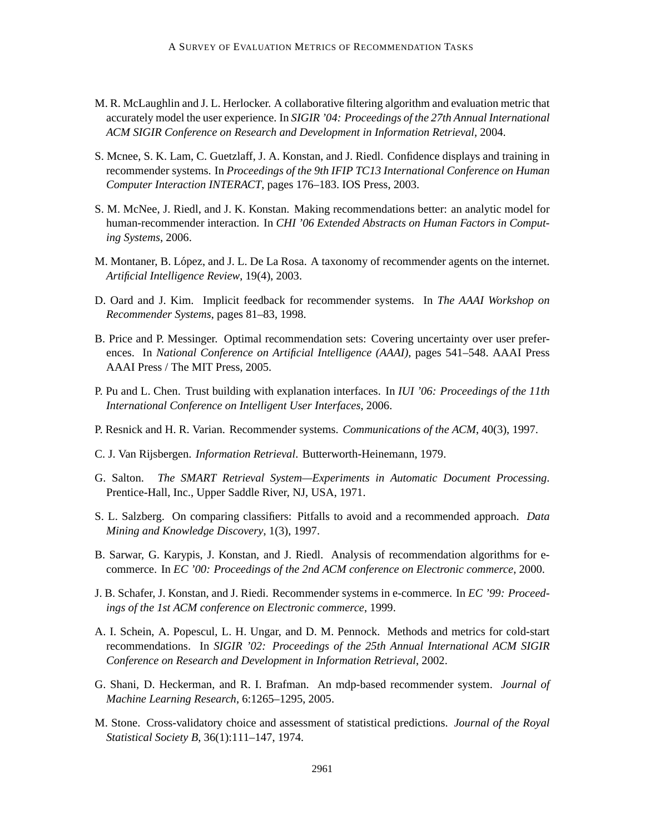- M. R. McLaughlin and J. L. Herlocker. A collaborative filtering algorithm and evaluation metric that accurately model the user experience. In *SIGIR '04: Proceedings of the 27th Annual International ACM SIGIR Conference on Research and Development in Information Retrieval*, 2004.
- S. Mcnee, S. K. Lam, C. Guetzlaff, J. A. Konstan, and J. Riedl. Confidence displays and training in recommender systems. In *Proceedings of the 9th IFIP TC13 International Conference on Human Computer Interaction INTERACT*, pages 176–183. IOS Press, 2003.
- S. M. McNee, J. Riedl, and J. K. Konstan. Making recommendations better: an analytic model for human-recommender interaction. In *CHI '06 Extended Abstracts on Human Factors in Computing Systems*, 2006.
- M. Montaner, B. López, and J. L. De La Rosa. A taxonomy of recommender agents on the internet. *Artificial Intelligence Review*, 19(4), 2003.
- D. Oard and J. Kim. Implicit feedback for recommender systems. In *The AAAI Workshop on Recommender Systems*, pages 81–83, 1998.
- B. Price and P. Messinger. Optimal recommendation sets: Covering uncertainty over user preferences. In *National Conference on Artificial Intelligence (AAAI)*, pages 541–548. AAAI Press AAAI Press / The MIT Press, 2005.
- P. Pu and L. Chen. Trust building with explanation interfaces. In *IUI '06: Proceedings of the 11th International Conference on Intelligent User Interfaces*, 2006.
- P. Resnick and H. R. Varian. Recommender systems. *Communications of the ACM*, 40(3), 1997.
- C. J. Van Rijsbergen. *Information Retrieval*. Butterworth-Heinemann, 1979.
- G. Salton. *The SMART Retrieval System—Experiments in Automatic Document Processing*. Prentice-Hall, Inc., Upper Saddle River, NJ, USA, 1971.
- S. L. Salzberg. On comparing classifiers: Pitfalls to avoid and a recommended approach. *Data Mining and Knowledge Discovery*, 1(3), 1997.
- B. Sarwar, G. Karypis, J. Konstan, and J. Riedl. Analysis of recommendation algorithms for ecommerce. In *EC '00: Proceedings of the 2nd ACM conference on Electronic commerce*, 2000.
- J. B. Schafer, J. Konstan, and J. Riedi. Recommender systems in e-commerce. In *EC '99: Proceedings of the 1st ACM conference on Electronic commerce*, 1999.
- A. I. Schein, A. Popescul, L. H. Ungar, and D. M. Pennock. Methods and metrics for cold-start recommendations. In *SIGIR '02: Proceedings of the 25th Annual International ACM SIGIR Conference on Research and Development in Information Retrieval*, 2002.
- G. Shani, D. Heckerman, and R. I. Brafman. An mdp-based recommender system. *Journal of Machine Learning Research*, 6:1265–1295, 2005.
- M. Stone. Cross-validatory choice and assessment of statistical predictions. *Journal of the Royal Statistical Society B*, 36(1):111–147, 1974.